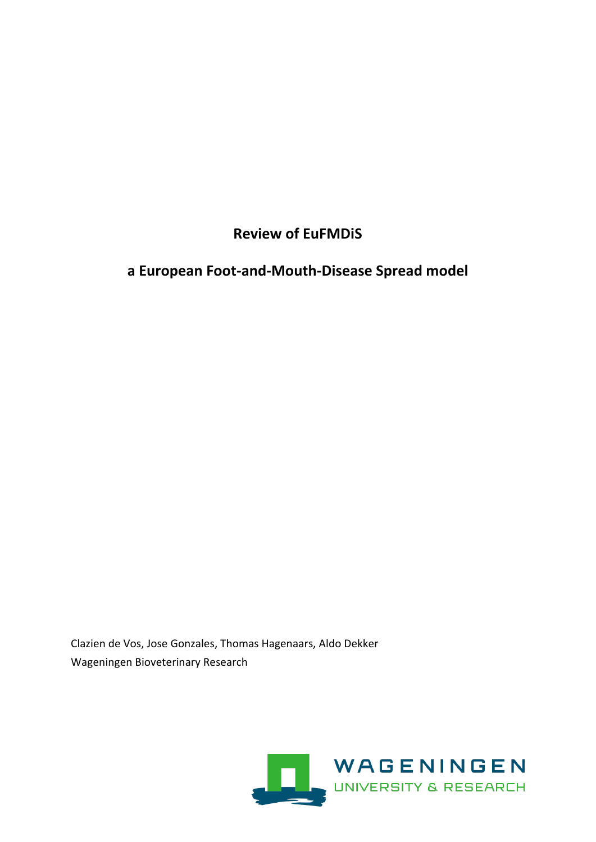# **Review of EuFMDiS**

# **a European Foot-and-Mouth-Disease Spread model**

Clazien de Vos, Jose Gonzales, Thomas Hagenaars, Aldo Dekker Wageningen Bioveterinary Research

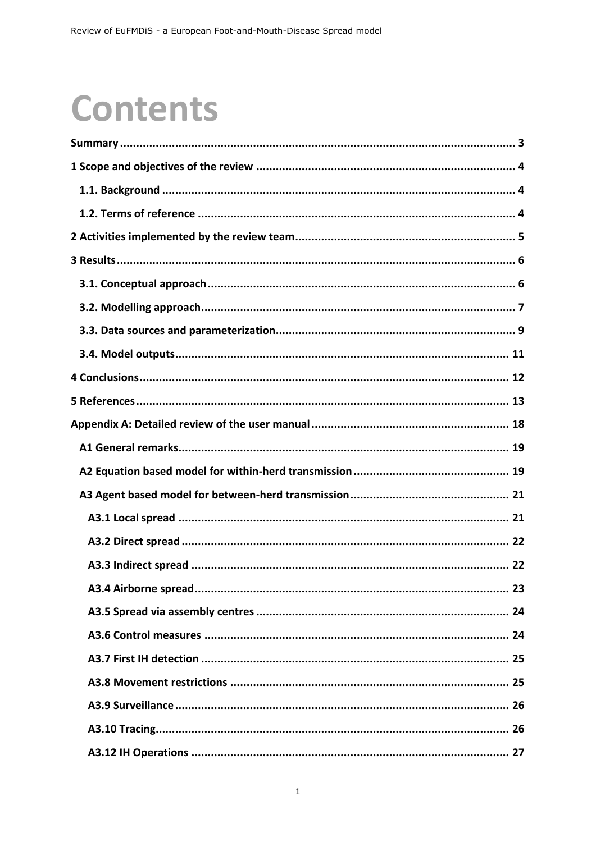# **Contents**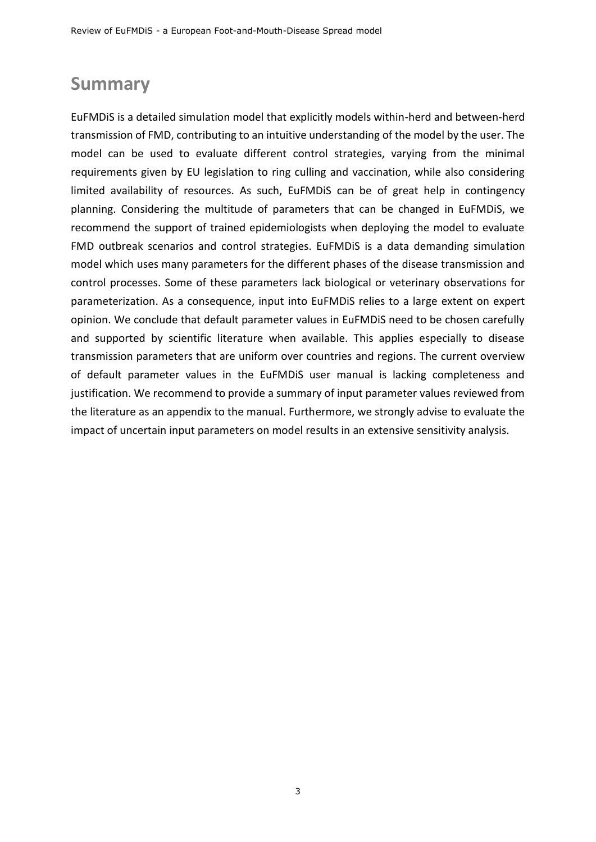# <span id="page-3-0"></span>**Summary**

EuFMDiS is a detailed simulation model that explicitly models within-herd and between-herd transmission of FMD, contributing to an intuitive understanding of the model by the user. The model can be used to evaluate different control strategies, varying from the minimal requirements given by EU legislation to ring culling and vaccination, while also considering limited availability of resources. As such, EuFMDiS can be of great help in contingency planning. Considering the multitude of parameters that can be changed in EuFMDiS, we recommend the support of trained epidemiologists when deploying the model to evaluate FMD outbreak scenarios and control strategies. EuFMDiS is a data demanding simulation model which uses many parameters for the different phases of the disease transmission and control processes. Some of these parameters lack biological or veterinary observations for parameterization. As a consequence, input into EuFMDiS relies to a large extent on expert opinion. We conclude that default parameter values in EuFMDiS need to be chosen carefully and supported by scientific literature when available. This applies especially to disease transmission parameters that are uniform over countries and regions. The current overview of default parameter values in the EuFMDiS user manual is lacking completeness and justification. We recommend to provide a summary of input parameter values reviewed from the literature as an appendix to the manual. Furthermore, we strongly advise to evaluate the impact of uncertain input parameters on model results in an extensive sensitivity analysis.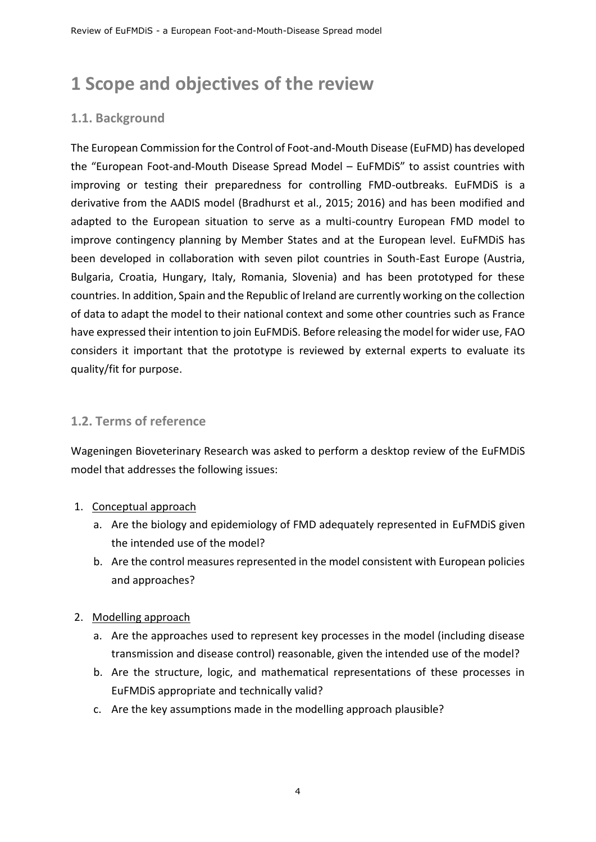# <span id="page-4-0"></span>**1 Scope and objectives of the review**

## <span id="page-4-1"></span>**1.1. Background**

The European Commission for the Control of Foot-and-Mouth Disease (EuFMD) has developed the "European Foot-and-Mouth Disease Spread Model – EuFMDiS" to assist countries with improving or testing their preparedness for controlling FMD-outbreaks. EuFMDiS is a derivative from the AADIS model (Bradhurst et al., 2015; 2016) and has been modified and adapted to the European situation to serve as a multi-country European FMD model to improve contingency planning by Member States and at the European level. EuFMDiS has been developed in collaboration with seven pilot countries in South-East Europe (Austria, Bulgaria, Croatia, Hungary, Italy, Romania, Slovenia) and has been prototyped for these countries. In addition, Spain and the Republic of Ireland are currently working on the collection of data to adapt the model to their national context and some other countries such as France have expressed their intention to join EuFMDiS. Before releasing the model for wider use, FAO considers it important that the prototype is reviewed by external experts to evaluate its quality/fit for purpose.

## <span id="page-4-2"></span>**1.2. Terms of reference**

Wageningen Bioveterinary Research was asked to perform a desktop review of the EuFMDiS model that addresses the following issues:

#### 1. Conceptual approach

- a. Are the biology and epidemiology of FMD adequately represented in EuFMDiS given the intended use of the model?
- b. Are the control measures represented in the model consistent with European policies and approaches?

#### 2. Modelling approach

- a. Are the approaches used to represent key processes in the model (including disease transmission and disease control) reasonable, given the intended use of the model?
- b. Are the structure, logic, and mathematical representations of these processes in EuFMDiS appropriate and technically valid?
- c. Are the key assumptions made in the modelling approach plausible?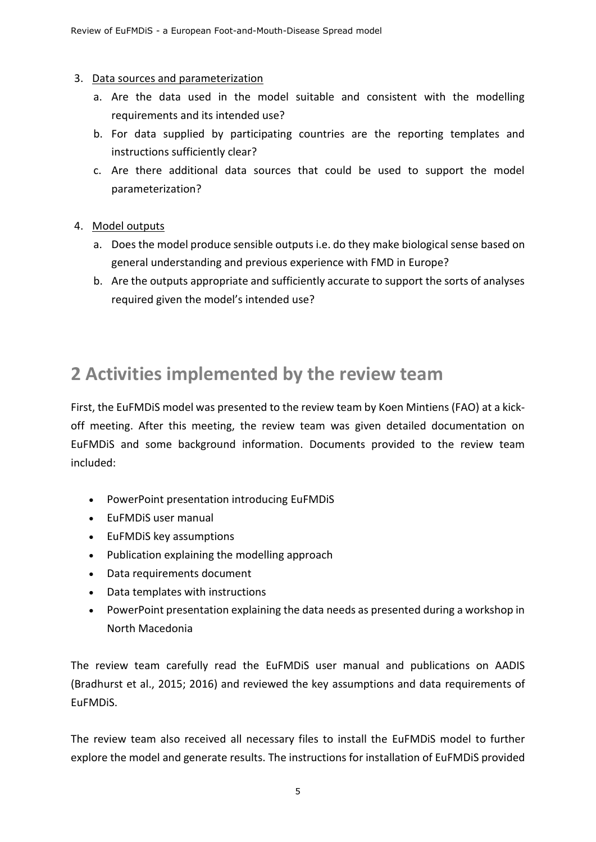#### 3. Data sources and parameterization

- a. Are the data used in the model suitable and consistent with the modelling requirements and its intended use?
- b. For data supplied by participating countries are the reporting templates and instructions sufficiently clear?
- c. Are there additional data sources that could be used to support the model parameterization?
- 4. Model outputs
	- a. Does the model produce sensible outputs i.e. do they make biological sense based on general understanding and previous experience with FMD in Europe?
	- b. Are the outputs appropriate and sufficiently accurate to support the sorts of analyses required given the model's intended use?

# <span id="page-5-0"></span>**2 Activities implemented by the review team**

First, the EuFMDiS model was presented to the review team by Koen Mintiens (FAO) at a kickoff meeting. After this meeting, the review team was given detailed documentation on EuFMDiS and some background information. Documents provided to the review team included:

- PowerPoint presentation introducing EuFMDiS
- EuFMDiS user manual
- EuFMDiS key assumptions
- Publication explaining the modelling approach
- Data requirements document
- Data templates with instructions
- PowerPoint presentation explaining the data needs as presented during a workshop in North Macedonia

The review team carefully read the EuFMDiS user manual and publications on AADIS (Bradhurst et al., 2015; 2016) and reviewed the key assumptions and data requirements of EuFMDiS.

The review team also received all necessary files to install the EuFMDiS model to further explore the model and generate results. The instructions for installation of EuFMDiS provided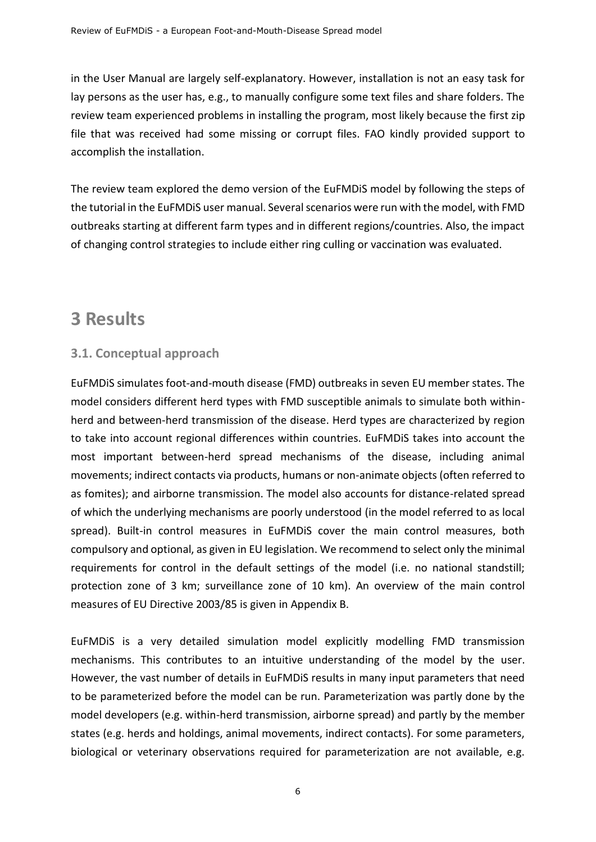in the User Manual are largely self-explanatory. However, installation is not an easy task for lay persons as the user has, e.g., to manually configure some text files and share folders. The review team experienced problems in installing the program, most likely because the first zip file that was received had some missing or corrupt files. FAO kindly provided support to accomplish the installation.

The review team explored the demo version of the EuFMDiS model by following the steps of the tutorial in the EuFMDiS user manual. Several scenarios were run with the model, with FMD outbreaks starting at different farm types and in different regions/countries. Also, the impact of changing control strategies to include either ring culling or vaccination was evaluated.

# <span id="page-6-0"></span>**3 Results**

## <span id="page-6-1"></span>**3.1. Conceptual approach**

EuFMDiS simulates foot-and-mouth disease (FMD) outbreaks in seven EU member states. The model considers different herd types with FMD susceptible animals to simulate both withinherd and between-herd transmission of the disease. Herd types are characterized by region to take into account regional differences within countries. EuFMDiS takes into account the most important between-herd spread mechanisms of the disease, including animal movements; indirect contacts via products, humans or non-animate objects (often referred to as fomites); and airborne transmission. The model also accounts for distance-related spread of which the underlying mechanisms are poorly understood (in the model referred to as local spread). Built-in control measures in EuFMDiS cover the main control measures, both compulsory and optional, as given in EU legislation. We recommend to select only the minimal requirements for control in the default settings of the model (i.e. no national standstill; protection zone of 3 km; surveillance zone of 10 km). An overview of the main control measures of EU Directive 2003/85 is given in Appendix B.

EuFMDiS is a very detailed simulation model explicitly modelling FMD transmission mechanisms. This contributes to an intuitive understanding of the model by the user. However, the vast number of details in EuFMDiS results in many input parameters that need to be parameterized before the model can be run. Parameterization was partly done by the model developers (e.g. within-herd transmission, airborne spread) and partly by the member states (e.g. herds and holdings, animal movements, indirect contacts). For some parameters, biological or veterinary observations required for parameterization are not available, e.g.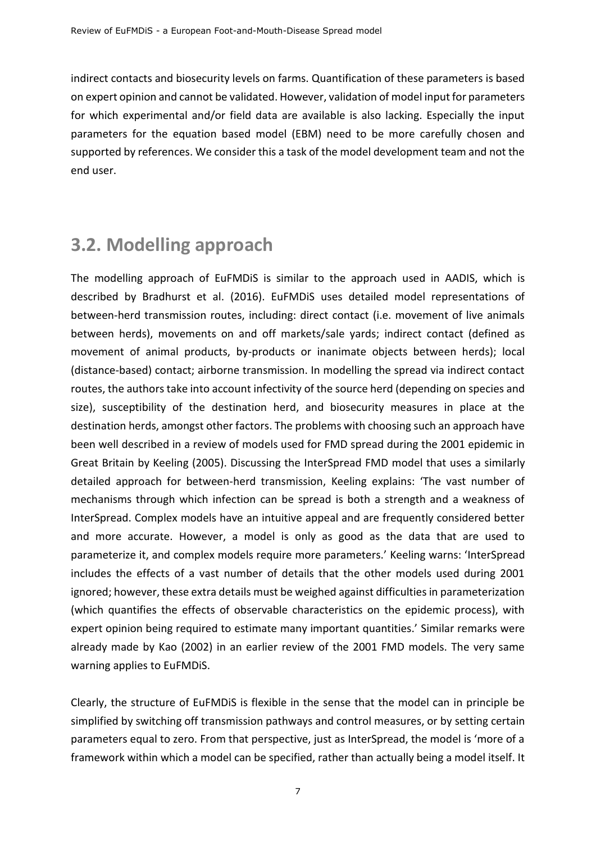indirect contacts and biosecurity levels on farms. Quantification of these parameters is based on expert opinion and cannot be validated. However, validation of model input for parameters for which experimental and/or field data are available is also lacking. Especially the input parameters for the equation based model (EBM) need to be more carefully chosen and supported by references. We consider this a task of the model development team and not the end user.

# <span id="page-7-0"></span>**3.2. Modelling approach**

The modelling approach of EuFMDiS is similar to the approach used in AADIS, which is described by Bradhurst et al. (2016). EuFMDiS uses detailed model representations of between-herd transmission routes, including: direct contact (i.e. movement of live animals between herds), movements on and off markets/sale yards; indirect contact (defined as movement of animal products, by-products or inanimate objects between herds); local (distance-based) contact; airborne transmission. In modelling the spread via indirect contact routes, the authors take into account infectivity of the source herd (depending on species and size), susceptibility of the destination herd, and biosecurity measures in place at the destination herds, amongst other factors. The problems with choosing such an approach have been well described in a review of models used for FMD spread during the 2001 epidemic in Great Britain by Keeling (2005). Discussing the InterSpread FMD model that uses a similarly detailed approach for between-herd transmission, Keeling explains: 'The vast number of mechanisms through which infection can be spread is both a strength and a weakness of InterSpread. Complex models have an intuitive appeal and are frequently considered better and more accurate. However, a model is only as good as the data that are used to parameterize it, and complex models require more parameters.' Keeling warns: 'InterSpread includes the effects of a vast number of details that the other models used during 2001 ignored; however, these extra details must be weighed against difficulties in parameterization (which quantifies the effects of observable characteristics on the epidemic process), with expert opinion being required to estimate many important quantities.' Similar remarks were already made by Kao (2002) in an earlier review of the 2001 FMD models. The very same warning applies to EuFMDiS.

Clearly, the structure of EuFMDiS is flexible in the sense that the model can in principle be simplified by switching off transmission pathways and control measures, or by setting certain parameters equal to zero. From that perspective, just as InterSpread, the model is 'more of a framework within which a model can be specified, rather than actually being a model itself. It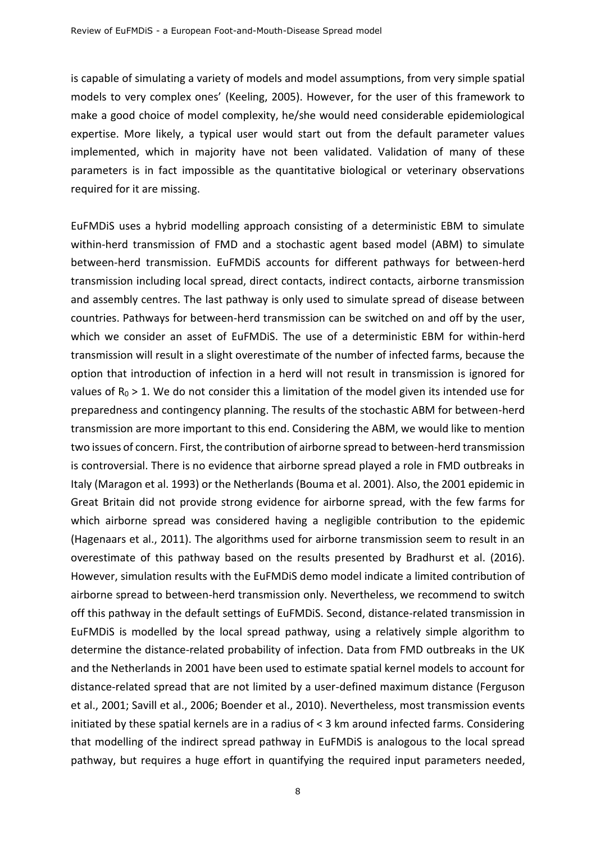is capable of simulating a variety of models and model assumptions, from very simple spatial models to very complex ones' (Keeling, 2005). However, for the user of this framework to make a good choice of model complexity, he/she would need considerable epidemiological expertise. More likely, a typical user would start out from the default parameter values implemented, which in majority have not been validated. Validation of many of these parameters is in fact impossible as the quantitative biological or veterinary observations required for it are missing.

EuFMDiS uses a hybrid modelling approach consisting of a deterministic EBM to simulate within-herd transmission of FMD and a stochastic agent based model (ABM) to simulate between-herd transmission. EuFMDiS accounts for different pathways for between-herd transmission including local spread, direct contacts, indirect contacts, airborne transmission and assembly centres. The last pathway is only used to simulate spread of disease between countries. Pathways for between-herd transmission can be switched on and off by the user, which we consider an asset of EuFMDiS. The use of a deterministic EBM for within-herd transmission will result in a slight overestimate of the number of infected farms, because the option that introduction of infection in a herd will not result in transmission is ignored for values of  $R_0 > 1$ . We do not consider this a limitation of the model given its intended use for preparedness and contingency planning. The results of the stochastic ABM for between-herd transmission are more important to this end. Considering the ABM, we would like to mention two issues of concern. First, the contribution of airborne spread to between-herd transmission is controversial. There is no evidence that airborne spread played a role in FMD outbreaks in Italy (Maragon et al. 1993) or the Netherlands (Bouma et al. 2001). Also, the 2001 epidemic in Great Britain did not provide strong evidence for airborne spread, with the few farms for which airborne spread was considered having a negligible contribution to the epidemic (Hagenaars et al., 2011). The algorithms used for airborne transmission seem to result in an overestimate of this pathway based on the results presented by Bradhurst et al. (2016). However, simulation results with the EuFMDiS demo model indicate a limited contribution of airborne spread to between-herd transmission only. Nevertheless, we recommend to switch off this pathway in the default settings of EuFMDiS. Second, distance-related transmission in EuFMDiS is modelled by the local spread pathway, using a relatively simple algorithm to determine the distance-related probability of infection. Data from FMD outbreaks in the UK and the Netherlands in 2001 have been used to estimate spatial kernel models to account for distance-related spread that are not limited by a user-defined maximum distance (Ferguson et al., 2001; Savill et al., 2006; Boender et al., 2010). Nevertheless, most transmission events initiated by these spatial kernels are in a radius of < 3 km around infected farms. Considering that modelling of the indirect spread pathway in EuFMDiS is analogous to the local spread pathway, but requires a huge effort in quantifying the required input parameters needed,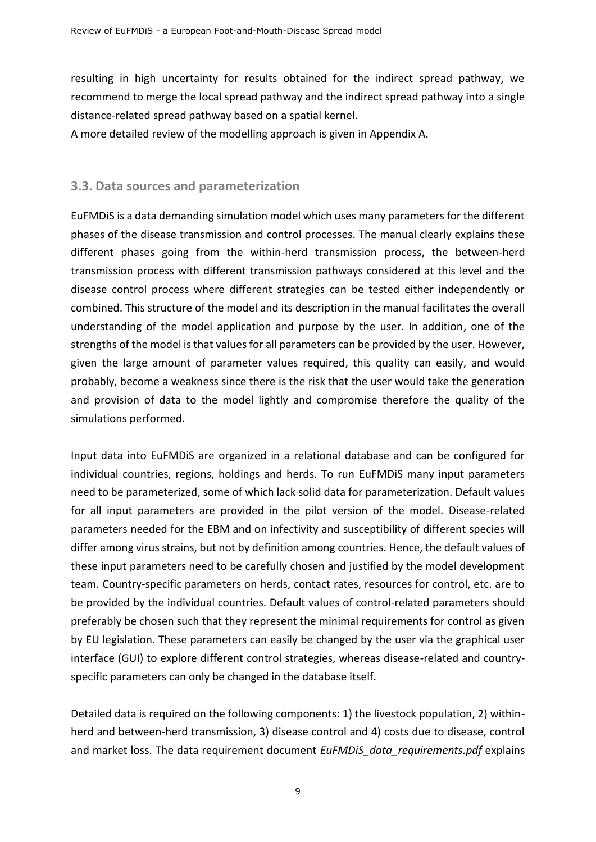resulting in high uncertainty for results obtained for the indirect spread pathway, we recommend to merge the local spread pathway and the indirect spread pathway into a single distance-related spread pathway based on a spatial kernel.

A more detailed review of the modelling approach is given in Appendix A.

## <span id="page-9-0"></span>**3.3. Data sources and parameterization**

EuFMDiS is a data demanding simulation model which uses many parameters for the different phases of the disease transmission and control processes. The manual clearly explains these different phases going from the within-herd transmission process, the between-herd transmission process with different transmission pathways considered at this level and the disease control process where different strategies can be tested either independently or combined. This structure of the model and its description in the manual facilitates the overall understanding of the model application and purpose by the user. In addition, one of the strengths of the model is that values for all parameters can be provided by the user. However, given the large amount of parameter values required, this quality can easily, and would probably, become a weakness since there is the risk that the user would take the generation and provision of data to the model lightly and compromise therefore the quality of the simulations performed.

Input data into EuFMDiS are organized in a relational database and can be configured for individual countries, regions, holdings and herds. To run EuFMDiS many input parameters need to be parameterized, some of which lack solid data for parameterization. Default values for all input parameters are provided in the pilot version of the model. Disease-related parameters needed for the EBM and on infectivity and susceptibility of different species will differ among virus strains, but not by definition among countries. Hence, the default values of these input parameters need to be carefully chosen and justified by the model development team. Country-specific parameters on herds, contact rates, resources for control, etc. are to be provided by the individual countries. Default values of control-related parameters should preferably be chosen such that they represent the minimal requirements for control as given by EU legislation. These parameters can easily be changed by the user via the graphical user interface (GUI) to explore different control strategies, whereas disease-related and countryspecific parameters can only be changed in the database itself.

Detailed data is required on the following components: 1) the livestock population, 2) withinherd and between-herd transmission, 3) disease control and 4) costs due to disease, control and market loss. The data requirement document *EuFMDiS\_data\_requirements.pdf* explains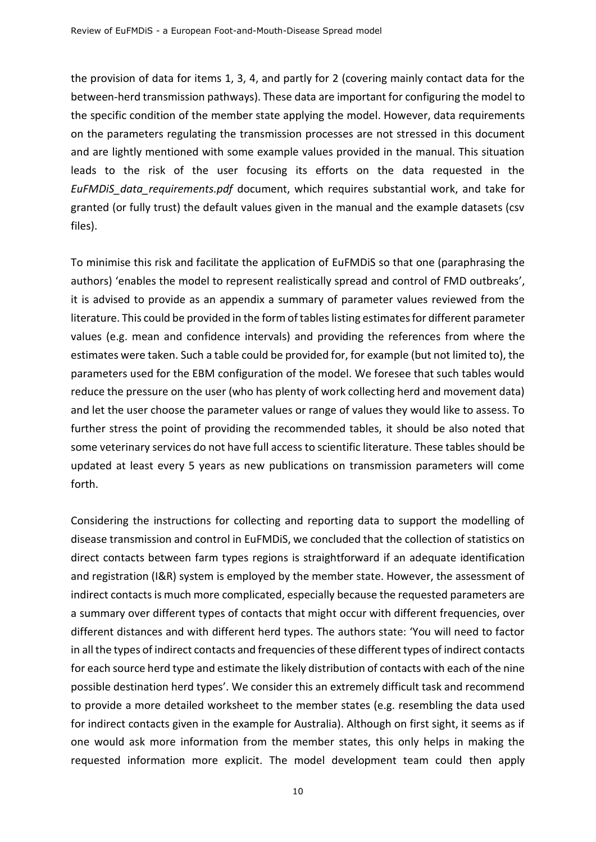the provision of data for items 1, 3, 4, and partly for 2 (covering mainly contact data for the between-herd transmission pathways). These data are important for configuring the model to the specific condition of the member state applying the model. However, data requirements on the parameters regulating the transmission processes are not stressed in this document and are lightly mentioned with some example values provided in the manual. This situation leads to the risk of the user focusing its efforts on the data requested in the *EuFMDiS\_data\_requirements.pdf* document, which requires substantial work, and take for granted (or fully trust) the default values given in the manual and the example datasets (csv files).

To minimise this risk and facilitate the application of EuFMDiS so that one (paraphrasing the authors) 'enables the model to represent realistically spread and control of FMD outbreaks', it is advised to provide as an appendix a summary of parameter values reviewed from the literature. This could be provided in the form of tables listing estimates for different parameter values (e.g. mean and confidence intervals) and providing the references from where the estimates were taken. Such a table could be provided for, for example (but not limited to), the parameters used for the EBM configuration of the model. We foresee that such tables would reduce the pressure on the user (who has plenty of work collecting herd and movement data) and let the user choose the parameter values or range of values they would like to assess. To further stress the point of providing the recommended tables, it should be also noted that some veterinary services do not have full access to scientific literature. These tables should be updated at least every 5 years as new publications on transmission parameters will come forth.

Considering the instructions for collecting and reporting data to support the modelling of disease transmission and control in EuFMDiS, we concluded that the collection of statistics on direct contacts between farm types regions is straightforward if an adequate identification and registration (I&R) system is employed by the member state. However, the assessment of indirect contacts is much more complicated, especially because the requested parameters are a summary over different types of contacts that might occur with different frequencies, over different distances and with different herd types. The authors state: 'You will need to factor in all the types of indirect contacts and frequencies of these different types of indirect contacts for each source herd type and estimate the likely distribution of contacts with each of the nine possible destination herd types'. We consider this an extremely difficult task and recommend to provide a more detailed worksheet to the member states (e.g. resembling the data used for indirect contacts given in the example for Australia). Although on first sight, it seems as if one would ask more information from the member states, this only helps in making the requested information more explicit. The model development team could then apply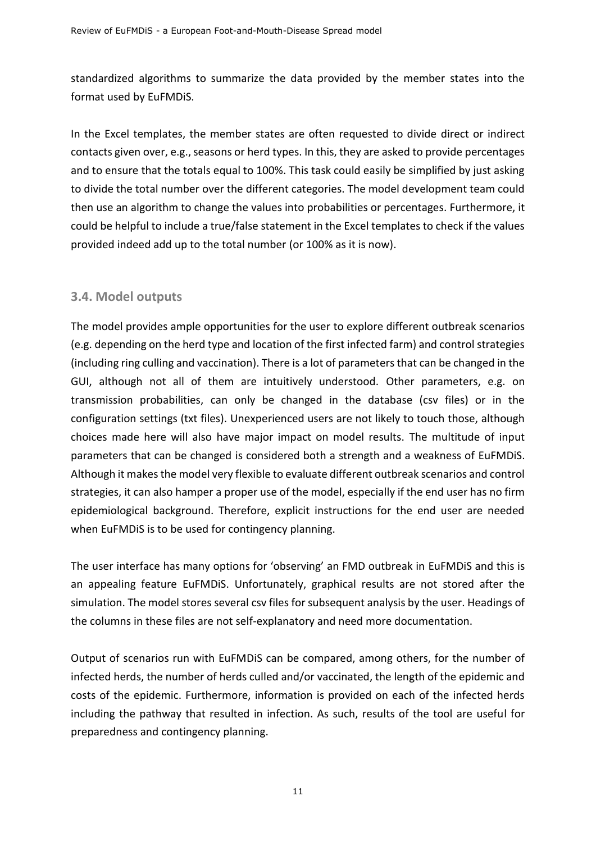standardized algorithms to summarize the data provided by the member states into the format used by EuFMDiS.

In the Excel templates, the member states are often requested to divide direct or indirect contacts given over, e.g., seasons or herd types. In this, they are asked to provide percentages and to ensure that the totals equal to 100%. This task could easily be simplified by just asking to divide the total number over the different categories. The model development team could then use an algorithm to change the values into probabilities or percentages. Furthermore, it could be helpful to include a true/false statement in the Excel templates to check if the values provided indeed add up to the total number (or 100% as it is now).

## <span id="page-11-0"></span>**3.4. Model outputs**

The model provides ample opportunities for the user to explore different outbreak scenarios (e.g. depending on the herd type and location of the first infected farm) and control strategies (including ring culling and vaccination). There is a lot of parameters that can be changed in the GUI, although not all of them are intuitively understood. Other parameters, e.g. on transmission probabilities, can only be changed in the database (csv files) or in the configuration settings (txt files). Unexperienced users are not likely to touch those, although choices made here will also have major impact on model results. The multitude of input parameters that can be changed is considered both a strength and a weakness of EuFMDiS. Although it makes the model very flexible to evaluate different outbreak scenarios and control strategies, it can also hamper a proper use of the model, especially if the end user has no firm epidemiological background. Therefore, explicit instructions for the end user are needed when EuFMDiS is to be used for contingency planning.

The user interface has many options for 'observing' an FMD outbreak in EuFMDiS and this is an appealing feature EuFMDiS. Unfortunately, graphical results are not stored after the simulation. The model stores several csv files for subsequent analysis by the user. Headings of the columns in these files are not self-explanatory and need more documentation.

Output of scenarios run with EuFMDiS can be compared, among others, for the number of infected herds, the number of herds culled and/or vaccinated, the length of the epidemic and costs of the epidemic. Furthermore, information is provided on each of the infected herds including the pathway that resulted in infection. As such, results of the tool are useful for preparedness and contingency planning.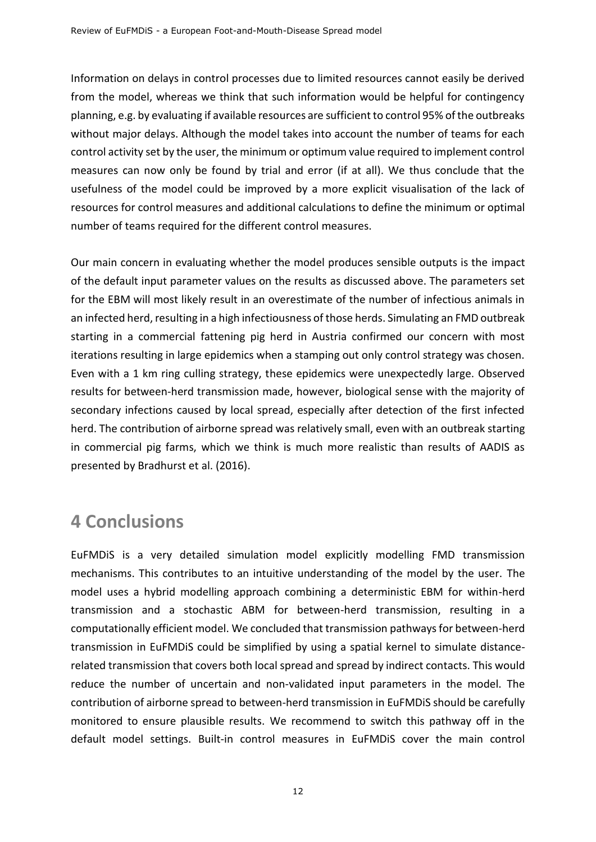Information on delays in control processes due to limited resources cannot easily be derived from the model, whereas we think that such information would be helpful for contingency planning, e.g. by evaluating if available resources are sufficient to control 95% of the outbreaks without major delays. Although the model takes into account the number of teams for each control activity set by the user, the minimum or optimum value required to implement control measures can now only be found by trial and error (if at all). We thus conclude that the usefulness of the model could be improved by a more explicit visualisation of the lack of resources for control measures and additional calculations to define the minimum or optimal number of teams required for the different control measures.

Our main concern in evaluating whether the model produces sensible outputs is the impact of the default input parameter values on the results as discussed above. The parameters set for the EBM will most likely result in an overestimate of the number of infectious animals in an infected herd, resulting in a high infectiousness of those herds. Simulating an FMD outbreak starting in a commercial fattening pig herd in Austria confirmed our concern with most iterations resulting in large epidemics when a stamping out only control strategy was chosen. Even with a 1 km ring culling strategy, these epidemics were unexpectedly large. Observed results for between-herd transmission made, however, biological sense with the majority of secondary infections caused by local spread, especially after detection of the first infected herd. The contribution of airborne spread was relatively small, even with an outbreak starting in commercial pig farms, which we think is much more realistic than results of AADIS as presented by Bradhurst et al. (2016).

# <span id="page-12-0"></span>**4 Conclusions**

EuFMDiS is a very detailed simulation model explicitly modelling FMD transmission mechanisms. This contributes to an intuitive understanding of the model by the user. The model uses a hybrid modelling approach combining a deterministic EBM for within-herd transmission and a stochastic ABM for between-herd transmission, resulting in a computationally efficient model. We concluded that transmission pathways for between-herd transmission in EuFMDiS could be simplified by using a spatial kernel to simulate distancerelated transmission that covers both local spread and spread by indirect contacts. This would reduce the number of uncertain and non-validated input parameters in the model. The contribution of airborne spread to between-herd transmission in EuFMDiS should be carefully monitored to ensure plausible results. We recommend to switch this pathway off in the default model settings. Built-in control measures in EuFMDiS cover the main control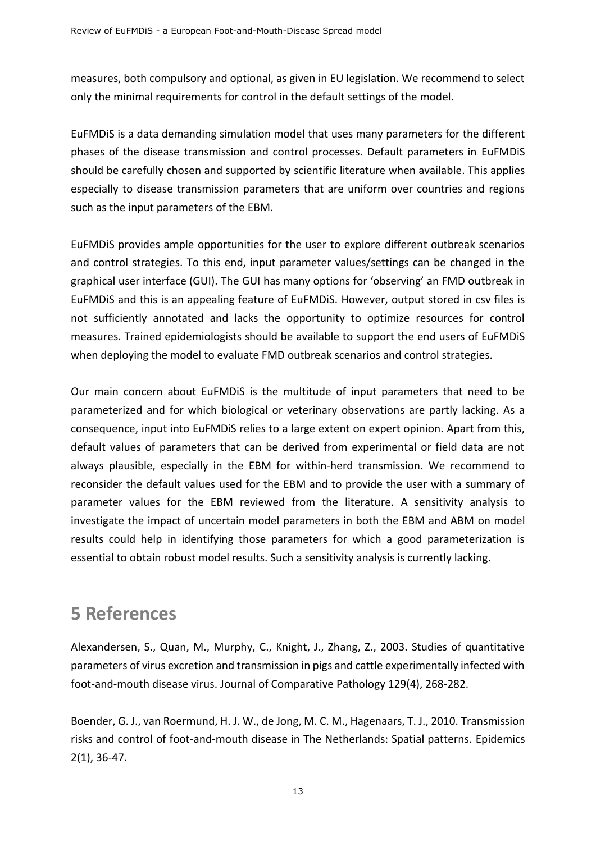measures, both compulsory and optional, as given in EU legislation. We recommend to select only the minimal requirements for control in the default settings of the model.

EuFMDiS is a data demanding simulation model that uses many parameters for the different phases of the disease transmission and control processes. Default parameters in EuFMDiS should be carefully chosen and supported by scientific literature when available. This applies especially to disease transmission parameters that are uniform over countries and regions such as the input parameters of the EBM.

EuFMDiS provides ample opportunities for the user to explore different outbreak scenarios and control strategies. To this end, input parameter values/settings can be changed in the graphical user interface (GUI). The GUI has many options for 'observing' an FMD outbreak in EuFMDiS and this is an appealing feature of EuFMDiS. However, output stored in csv files is not sufficiently annotated and lacks the opportunity to optimize resources for control measures. Trained epidemiologists should be available to support the end users of EuFMDiS when deploying the model to evaluate FMD outbreak scenarios and control strategies.

Our main concern about EuFMDiS is the multitude of input parameters that need to be parameterized and for which biological or veterinary observations are partly lacking. As a consequence, input into EuFMDiS relies to a large extent on expert opinion. Apart from this, default values of parameters that can be derived from experimental or field data are not always plausible, especially in the EBM for within-herd transmission. We recommend to reconsider the default values used for the EBM and to provide the user with a summary of parameter values for the EBM reviewed from the literature. A sensitivity analysis to investigate the impact of uncertain model parameters in both the EBM and ABM on model results could help in identifying those parameters for which a good parameterization is essential to obtain robust model results. Such a sensitivity analysis is currently lacking.

# <span id="page-13-0"></span>**5 References**

Alexandersen, S., Quan, M., Murphy, C., Knight, J., Zhang, Z., 2003. Studies of quantitative parameters of virus excretion and transmission in pigs and cattle experimentally infected with foot-and-mouth disease virus. Journal of Comparative Pathology 129(4), 268-282.

Boender, G. J., van Roermund, H. J. W., de Jong, M. C. M., Hagenaars, T. J., 2010. Transmission risks and control of foot-and-mouth disease in The Netherlands: Spatial patterns. Epidemics 2(1), 36-47.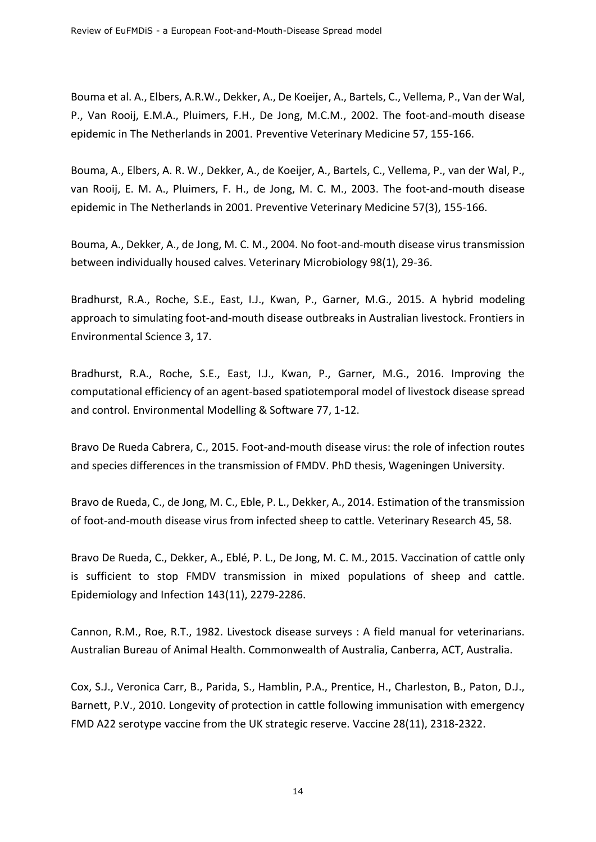Bouma et al. A., Elbers, A.R.W., Dekker, A., De Koeijer, A., Bartels, C., Vellema, P., Van der Wal, P., Van Rooij, E.M.A., Pluimers, F.H., De Jong, M.C.M., 2002. The foot-and-mouth disease epidemic in The Netherlands in 2001. Preventive Veterinary Medicine 57, 155-166.

Bouma, A., Elbers, A. R. W., Dekker, A., de Koeijer, A., Bartels, C., Vellema, P., van der Wal, P., van Rooij, E. M. A., Pluimers, F. H., de Jong, M. C. M., 2003. The foot-and-mouth disease epidemic in The Netherlands in 2001. Preventive Veterinary Medicine 57(3), 155-166.

Bouma, A., Dekker, A., de Jong, M. C. M., 2004. No foot-and-mouth disease virus transmission between individually housed calves. Veterinary Microbiology 98(1), 29-36.

Bradhurst, R.A., Roche, S.E., East, I.J., Kwan, P., Garner, M.G., 2015. A hybrid modeling approach to simulating foot-and-mouth disease outbreaks in Australian livestock. Frontiers in Environmental Science 3, 17.

Bradhurst, R.A., Roche, S.E., East, I.J., Kwan, P., Garner, M.G., 2016. Improving the computational efficiency of an agent-based spatiotemporal model of livestock disease spread and control. Environmental Modelling & Software 77, 1-12.

Bravo De Rueda Cabrera, C., 2015. Foot-and-mouth disease virus: the role of infection routes and species differences in the transmission of FMDV. PhD thesis, Wageningen University.

Bravo de Rueda, C., de Jong, M. C., Eble, P. L., Dekker, A., 2014. Estimation of the transmission of foot-and-mouth disease virus from infected sheep to cattle. Veterinary Research 45, 58.

Bravo De Rueda, C., Dekker, A., Eblé, P. L., De Jong, M. C. M., 2015. Vaccination of cattle only is sufficient to stop FMDV transmission in mixed populations of sheep and cattle. Epidemiology and Infection 143(11), 2279-2286.

Cannon, R.M., Roe, R.T., 1982. Livestock disease surveys : A field manual for veterinarians. Australian Bureau of Animal Health. Commonwealth of Australia, Canberra, ACT, Australia.

Cox, S.J., Veronica Carr, B., Parida, S., Hamblin, P.A., Prentice, H., Charleston, B., Paton, D.J., Barnett, P.V., 2010. Longevity of protection in cattle following immunisation with emergency FMD A22 serotype vaccine from the UK strategic reserve. Vaccine 28(11), 2318-2322.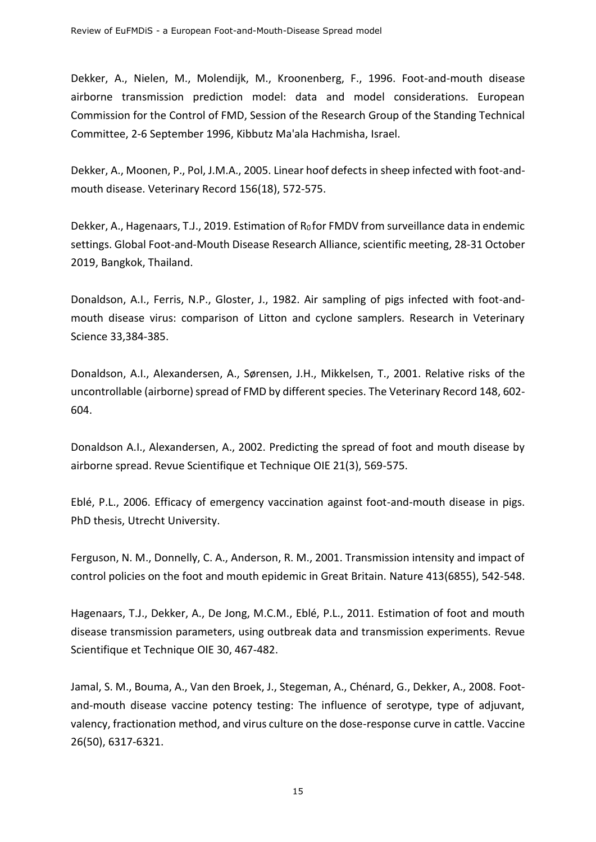Dekker, A., Nielen, M., Molendijk, M., Kroonenberg, F., 1996. Foot-and-mouth disease airborne transmission prediction model: data and model considerations. European Commission for the Control of FMD, Session of the Research Group of the Standing Technical Committee, 2-6 September 1996, Kibbutz Ma'ala Hachmisha, Israel.

Dekker, A., Moonen, P., Pol, J.M.A., 2005. Linear hoof defects in sheep infected with foot-andmouth disease. Veterinary Record 156(18), 572-575.

Dekker, A., Hagenaars, T.J., 2019. Estimation of  $R_0$  for FMDV from surveillance data in endemic settings. Global Foot-and-Mouth Disease Research Alliance, scientific meeting, 28-31 October 2019, Bangkok, Thailand.

Donaldson, A.I., Ferris, N.P., Gloster, J., 1982. Air sampling of pigs infected with foot-andmouth disease virus: comparison of Litton and cyclone samplers. Research in Veterinary Science 33,384-385.

Donaldson, A.I., Alexandersen, A., Sørensen, J.H., Mikkelsen, T., 2001. Relative risks of the uncontrollable (airborne) spread of FMD by different species. The Veterinary Record 148, 602- 604.

Donaldson A.I., Alexandersen, A., 2002. Predicting the spread of foot and mouth disease by airborne spread. Revue Scientifique et Technique OIE 21(3), 569-575.

Eblé, P.L., 2006. Efficacy of emergency vaccination against foot-and-mouth disease in pigs. PhD thesis, Utrecht University.

Ferguson, N. M., Donnelly, C. A., Anderson, R. M., 2001. Transmission intensity and impact of control policies on the foot and mouth epidemic in Great Britain. Nature 413(6855), 542-548.

Hagenaars, T.J., Dekker, A., De Jong, M.C.M., Eblé, P.L., 2011. Estimation of foot and mouth disease transmission parameters, using outbreak data and transmission experiments. Revue Scientifique et Technique OIE 30, 467-482.

Jamal, S. M., Bouma, A., Van den Broek, J., Stegeman, A., Chénard, G., Dekker, A., 2008. Footand-mouth disease vaccine potency testing: The influence of serotype, type of adjuvant, valency, fractionation method, and virus culture on the dose-response curve in cattle. Vaccine 26(50), 6317-6321.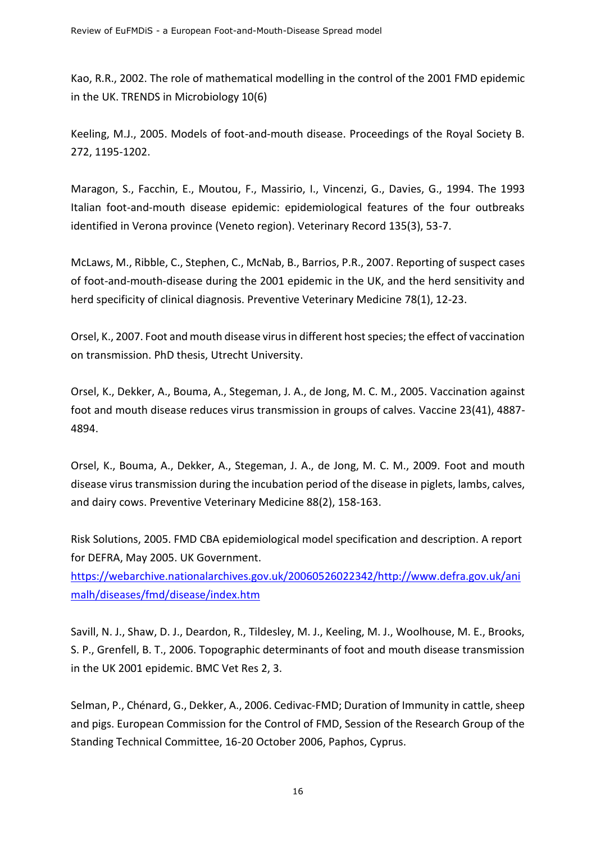Kao, R.R., 2002. The role of mathematical modelling in the control of the 2001 FMD epidemic in the UK. TRENDS in Microbiology 10(6)

Keeling, M.J., 2005. Models of foot-and-mouth disease. Proceedings of the Royal Society B. 272, 1195-1202.

Maragon, S., Facchin, E., Moutou, F., Massirio, I., Vincenzi, G., Davies, G., 1994. The 1993 Italian foot-and-mouth disease epidemic: epidemiological features of the four outbreaks identified in Verona province (Veneto region). Veterinary Record 135(3), 53-7.

McLaws, M., Ribble, C., Stephen, C., McNab, B., Barrios, P.R., 2007. Reporting of suspect cases of foot-and-mouth-disease during the 2001 epidemic in the UK, and the herd sensitivity and herd specificity of clinical diagnosis. Preventive Veterinary Medicine 78(1), 12-23.

Orsel, K., 2007. Foot and mouth disease virus in different host species; the effect of vaccination on transmission. PhD thesis, Utrecht University.

Orsel, K., Dekker, A., Bouma, A., Stegeman, J. A., de Jong, M. C. M., 2005. Vaccination against foot and mouth disease reduces virus transmission in groups of calves. Vaccine 23(41), 4887- 4894.

Orsel, K., Bouma, A., Dekker, A., Stegeman, J. A., de Jong, M. C. M., 2009. Foot and mouth disease virus transmission during the incubation period of the disease in piglets, lambs, calves, and dairy cows. Preventive Veterinary Medicine 88(2), 158-163.

Risk Solutions, 2005. FMD CBA epidemiological model specification and description. A report for DEFRA, May 2005. UK Government.

[https://webarchive.nationalarchives.gov.uk/20060526022342/http://www.defra.gov.uk/ani](https://webarchive.nationalarchives.gov.uk/20060526022342/http:/www.defra.gov.uk/animalh/diseases/fmd/disease/index.htm) [malh/diseases/fmd/disease/index.htm](https://webarchive.nationalarchives.gov.uk/20060526022342/http:/www.defra.gov.uk/animalh/diseases/fmd/disease/index.htm)

Savill, N. J., Shaw, D. J., Deardon, R., Tildesley, M. J., Keeling, M. J., Woolhouse, M. E., Brooks, S. P., Grenfell, B. T., 2006. Topographic determinants of foot and mouth disease transmission in the UK 2001 epidemic. BMC Vet Res 2, 3.

Selman, P., Chénard, G., Dekker, A., 2006. Cedivac-FMD; Duration of Immunity in cattle, sheep and pigs. European Commission for the Control of FMD, Session of the Research Group of the Standing Technical Committee, 16-20 October 2006, Paphos, Cyprus.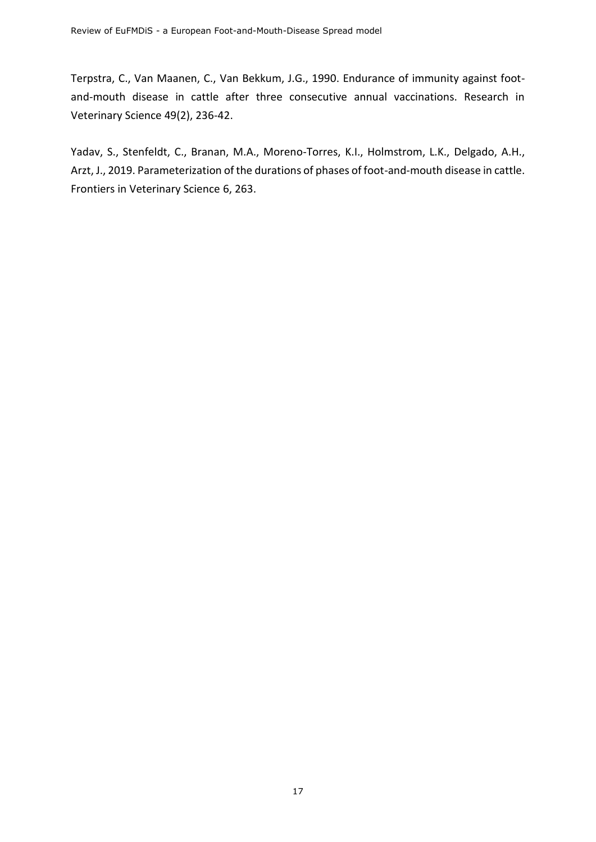Terpstra, C., Van Maanen, C., Van Bekkum, J.G., 1990. Endurance of immunity against footand-mouth disease in cattle after three consecutive annual vaccinations. Research in Veterinary Science 49(2), 236-42.

Yadav, S., Stenfeldt, C., Branan, M.A., Moreno-Torres, K.I., Holmstrom, L.K., Delgado, A.H., Arzt, J., 2019. Parameterization of the durations of phases of foot-and-mouth disease in cattle. Frontiers in Veterinary Science 6, 263.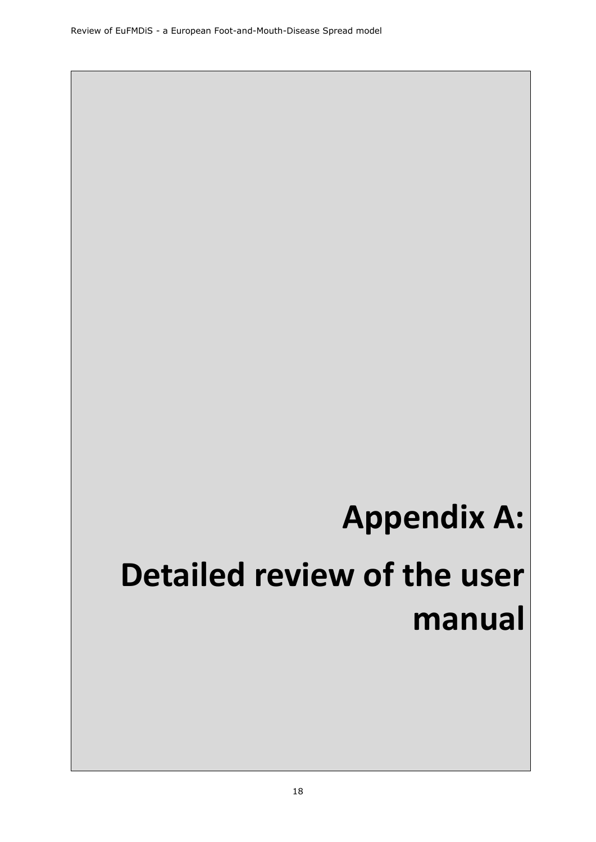# **Appendix A:**

# <span id="page-18-0"></span>**Detailed review of the user manual**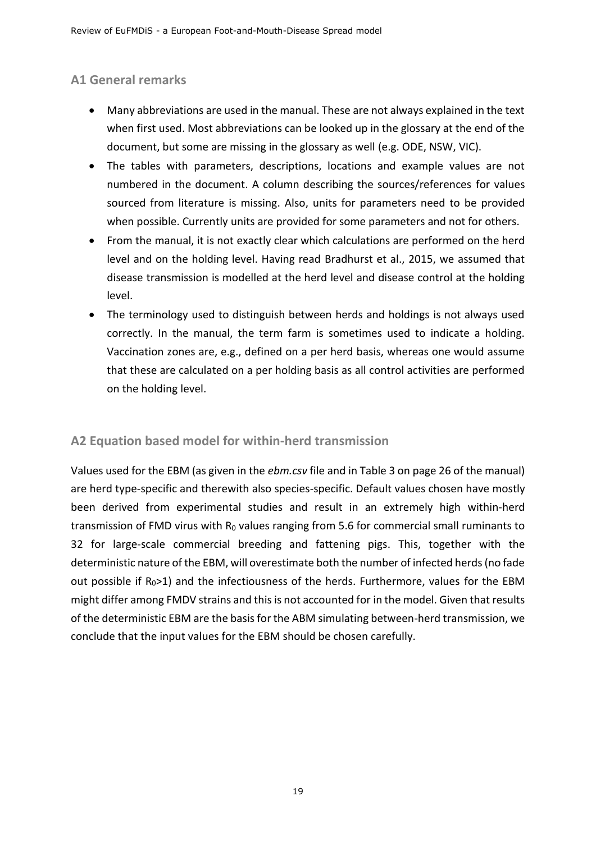## <span id="page-19-0"></span>**A1 General remarks**

- Many abbreviations are used in the manual. These are not always explained in the text when first used. Most abbreviations can be looked up in the glossary at the end of the document, but some are missing in the glossary as well (e.g. ODE, NSW, VIC).
- The tables with parameters, descriptions, locations and example values are not numbered in the document. A column describing the sources/references for values sourced from literature is missing. Also, units for parameters need to be provided when possible. Currently units are provided for some parameters and not for others.
- From the manual, it is not exactly clear which calculations are performed on the herd level and on the holding level. Having read Bradhurst et al., 2015, we assumed that disease transmission is modelled at the herd level and disease control at the holding level.
- The terminology used to distinguish between herds and holdings is not always used correctly. In the manual, the term farm is sometimes used to indicate a holding. Vaccination zones are, e.g., defined on a per herd basis, whereas one would assume that these are calculated on a per holding basis as all control activities are performed on the holding level.

## <span id="page-19-1"></span>**A2 Equation based model for within-herd transmission**

Values used for the EBM (as given in the *ebm.csv* file and in Table 3 on page 26 of the manual) are herd type-specific and therewith also species-specific. Default values chosen have mostly been derived from experimental studies and result in an extremely high within-herd transmission of FMD virus with  $R_0$  values ranging from 5.6 for commercial small ruminants to 32 for large-scale commercial breeding and fattening pigs. This, together with the deterministic nature of the EBM, will overestimate both the number of infected herds (no fade out possible if R<sub>0</sub>>1) and the infectiousness of the herds. Furthermore, values for the EBM might differ among FMDV strains and this is not accounted for in the model. Given that results of the deterministic EBM are the basis for the ABM simulating between-herd transmission, we conclude that the input values for the EBM should be chosen carefully.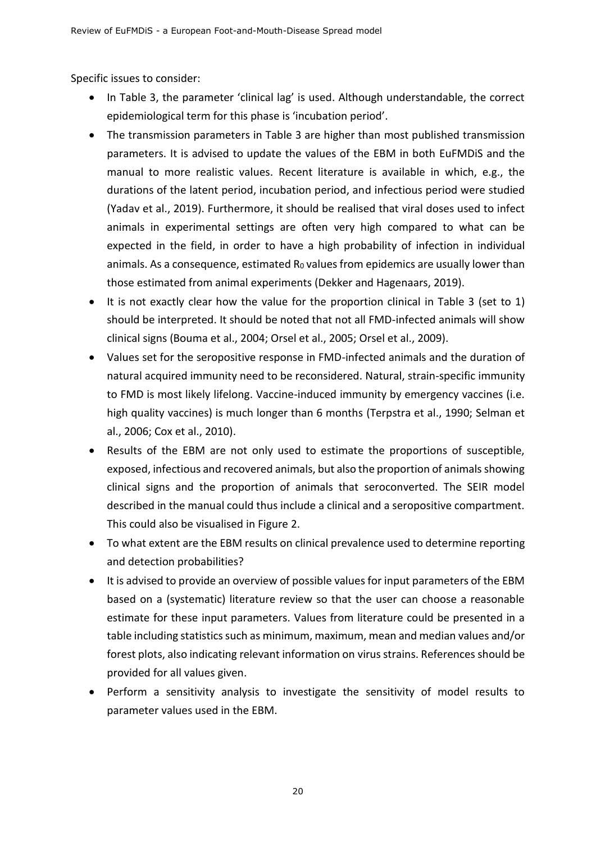Specific issues to consider:

- In Table 3, the parameter 'clinical lag' is used. Although understandable, the correct epidemiological term for this phase is 'incubation period'.
- The transmission parameters in Table 3 are higher than most published transmission parameters. It is advised to update the values of the EBM in both EuFMDiS and the manual to more realistic values. Recent literature is available in which, e.g., the durations of the latent period, incubation period, and infectious period were studied (Yadav et al., 2019). Furthermore, it should be realised that viral doses used to infect animals in experimental settings are often very high compared to what can be expected in the field, in order to have a high probability of infection in individual animals. As a consequence, estimated  $R_0$  values from epidemics are usually lower than those estimated from animal experiments (Dekker and Hagenaars, 2019).
- It is not exactly clear how the value for the proportion clinical in Table 3 (set to 1) should be interpreted. It should be noted that not all FMD-infected animals will show clinical signs (Bouma et al., 2004; Orsel et al., 2005; Orsel et al., 2009).
- Values set for the seropositive response in FMD-infected animals and the duration of natural acquired immunity need to be reconsidered. Natural, strain-specific immunity to FMD is most likely lifelong. Vaccine-induced immunity by emergency vaccines (i.e. high quality vaccines) is much longer than 6 months (Terpstra et al., 1990; Selman et al., 2006; Cox et al., 2010).
- Results of the EBM are not only used to estimate the proportions of susceptible, exposed, infectious and recovered animals, but also the proportion of animals showing clinical signs and the proportion of animals that seroconverted. The SEIR model described in the manual could thus include a clinical and a seropositive compartment. This could also be visualised in Figure 2.
- To what extent are the EBM results on clinical prevalence used to determine reporting and detection probabilities?
- It is advised to provide an overview of possible values for input parameters of the EBM based on a (systematic) literature review so that the user can choose a reasonable estimate for these input parameters. Values from literature could be presented in a table including statistics such as minimum, maximum, mean and median values and/or forest plots, also indicating relevant information on virus strains. References should be provided for all values given.
- Perform a sensitivity analysis to investigate the sensitivity of model results to parameter values used in the EBM.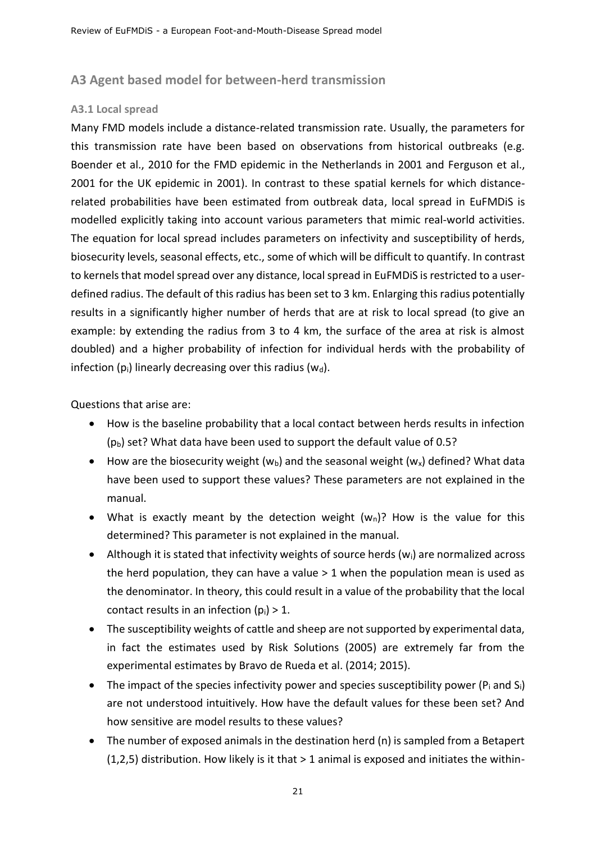#### <span id="page-21-0"></span>**A3 Agent based model for between-herd transmission**

#### <span id="page-21-1"></span>**A3.1 Local spread**

Many FMD models include a distance-related transmission rate. Usually, the parameters for this transmission rate have been based on observations from historical outbreaks (e.g. Boender et al., 2010 for the FMD epidemic in the Netherlands in 2001 and Ferguson et al., 2001 for the UK epidemic in 2001). In contrast to these spatial kernels for which distancerelated probabilities have been estimated from outbreak data, local spread in EuFMDiS is modelled explicitly taking into account various parameters that mimic real-world activities. The equation for local spread includes parameters on infectivity and susceptibility of herds, biosecurity levels, seasonal effects, etc., some of which will be difficult to quantify. In contrast to kernels that model spread over any distance, local spread in EuFMDiS is restricted to a userdefined radius. The default of this radius has been set to 3 km. Enlarging this radius potentially results in a significantly higher number of herds that are at risk to local spread (to give an example: by extending the radius from 3 to 4 km, the surface of the area at risk is almost doubled) and a higher probability of infection for individual herds with the probability of infection  $(p_i)$  linearly decreasing over this radius  $(w_d)$ .

Questions that arise are:

- How is the baseline probability that a local contact between herds results in infection  $(p_b)$  set? What data have been used to support the default value of 0.5?
- How are the biosecurity weight ( $w<sub>b</sub>$ ) and the seasonal weight ( $w<sub>x</sub>$ ) defined? What data have been used to support these values? These parameters are not explained in the manual.
- What is exactly meant by the detection weight  $(w_n)$ ? How is the value for this determined? This parameter is not explained in the manual.
- Although it is stated that infectivity weights of source herds  $(w_i)$  are normalized across the herd population, they can have a value  $> 1$  when the population mean is used as the denominator. In theory, this could result in a value of the probability that the local contact results in an infection  $(p_i) > 1$ .
- The susceptibility weights of cattle and sheep are not supported by experimental data, in fact the estimates used by Risk Solutions (2005) are extremely far from the experimental estimates by Bravo de Rueda et al. (2014; 2015).
- The impact of the species infectivity power and species susceptibility power ( $P_i$  and  $S_i$ ) are not understood intuitively. How have the default values for these been set? And how sensitive are model results to these values?
- The number of exposed animals in the destination herd (n) is sampled from a Betapert  $(1,2,5)$  distribution. How likely is it that  $> 1$  animal is exposed and initiates the within-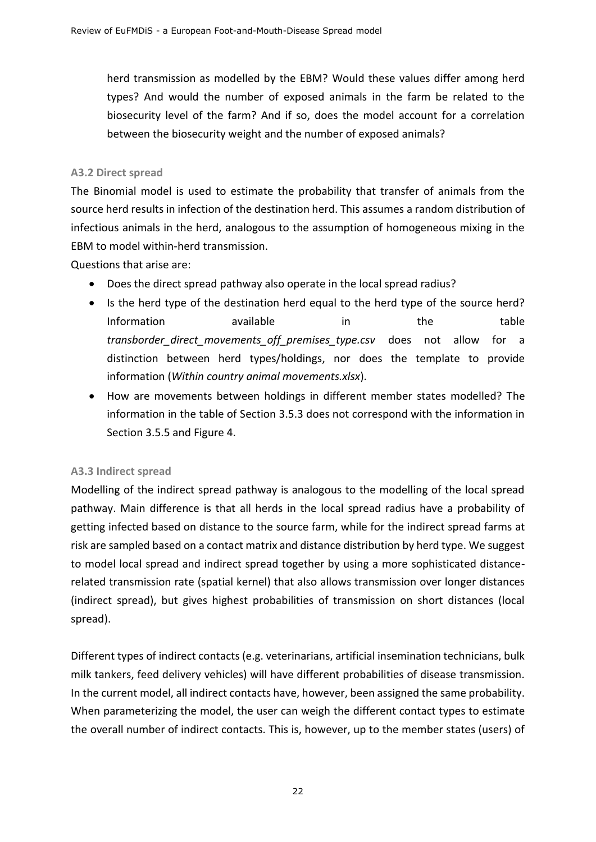herd transmission as modelled by the EBM? Would these values differ among herd types? And would the number of exposed animals in the farm be related to the biosecurity level of the farm? And if so, does the model account for a correlation between the biosecurity weight and the number of exposed animals?

#### <span id="page-22-0"></span>**A3.2 Direct spread**

The Binomial model is used to estimate the probability that transfer of animals from the source herd results in infection of the destination herd. This assumes a random distribution of infectious animals in the herd, analogous to the assumption of homogeneous mixing in the EBM to model within-herd transmission.

Questions that arise are:

- Does the direct spread pathway also operate in the local spread radius?
- Is the herd type of the destination herd equal to the herd type of the source herd? Information available in the table *transborder\_direct\_movements\_off\_premises\_type.csv* does not allow for a distinction between herd types/holdings, nor does the template to provide information (*Within country animal movements.xlsx*).
- How are movements between holdings in different member states modelled? The information in the table of Section 3.5.3 does not correspond with the information in Section 3.5.5 and Figure 4.

#### <span id="page-22-1"></span>**A3.3 Indirect spread**

Modelling of the indirect spread pathway is analogous to the modelling of the local spread pathway. Main difference is that all herds in the local spread radius have a probability of getting infected based on distance to the source farm, while for the indirect spread farms at risk are sampled based on a contact matrix and distance distribution by herd type. We suggest to model local spread and indirect spread together by using a more sophisticated distancerelated transmission rate (spatial kernel) that also allows transmission over longer distances (indirect spread), but gives highest probabilities of transmission on short distances (local spread).

Different types of indirect contacts (e.g. veterinarians, artificial insemination technicians, bulk milk tankers, feed delivery vehicles) will have different probabilities of disease transmission. In the current model, all indirect contacts have, however, been assigned the same probability. When parameterizing the model, the user can weigh the different contact types to estimate the overall number of indirect contacts. This is, however, up to the member states (users) of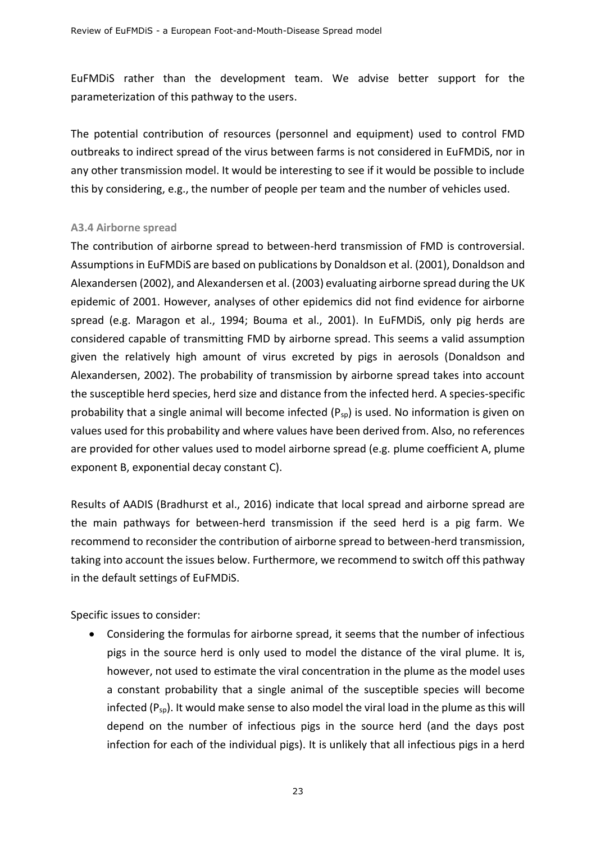EuFMDiS rather than the development team. We advise better support for the parameterization of this pathway to the users.

The potential contribution of resources (personnel and equipment) used to control FMD outbreaks to indirect spread of the virus between farms is not considered in EuFMDiS, nor in any other transmission model. It would be interesting to see if it would be possible to include this by considering, e.g., the number of people per team and the number of vehicles used.

#### <span id="page-23-0"></span>**A3.4 Airborne spread**

The contribution of airborne spread to between-herd transmission of FMD is controversial. Assumptions in EuFMDiS are based on publications by Donaldson et al. (2001), Donaldson and Alexandersen (2002), and Alexandersen et al. (2003) evaluating airborne spread during the UK epidemic of 2001. However, analyses of other epidemics did not find evidence for airborne spread (e.g. Maragon et al., 1994; Bouma et al., 2001). In EuFMDiS, only pig herds are considered capable of transmitting FMD by airborne spread. This seems a valid assumption given the relatively high amount of virus excreted by pigs in aerosols (Donaldson and Alexandersen, 2002). The probability of transmission by airborne spread takes into account the susceptible herd species, herd size and distance from the infected herd. A species-specific probability that a single animal will become infected  $(P_{SD})$  is used. No information is given on values used for this probability and where values have been derived from. Also, no references are provided for other values used to model airborne spread (e.g. plume coefficient A, plume exponent B, exponential decay constant C).

Results of AADIS (Bradhurst et al., 2016) indicate that local spread and airborne spread are the main pathways for between-herd transmission if the seed herd is a pig farm. We recommend to reconsider the contribution of airborne spread to between-herd transmission, taking into account the issues below. Furthermore, we recommend to switch off this pathway in the default settings of EuFMDiS.

Specific issues to consider:

• Considering the formulas for airborne spread, it seems that the number of infectious pigs in the source herd is only used to model the distance of the viral plume. It is, however, not used to estimate the viral concentration in the plume as the model uses a constant probability that a single animal of the susceptible species will become infected  $(P_{sp})$ . It would make sense to also model the viral load in the plume as this will depend on the number of infectious pigs in the source herd (and the days post infection for each of the individual pigs). It is unlikely that all infectious pigs in a herd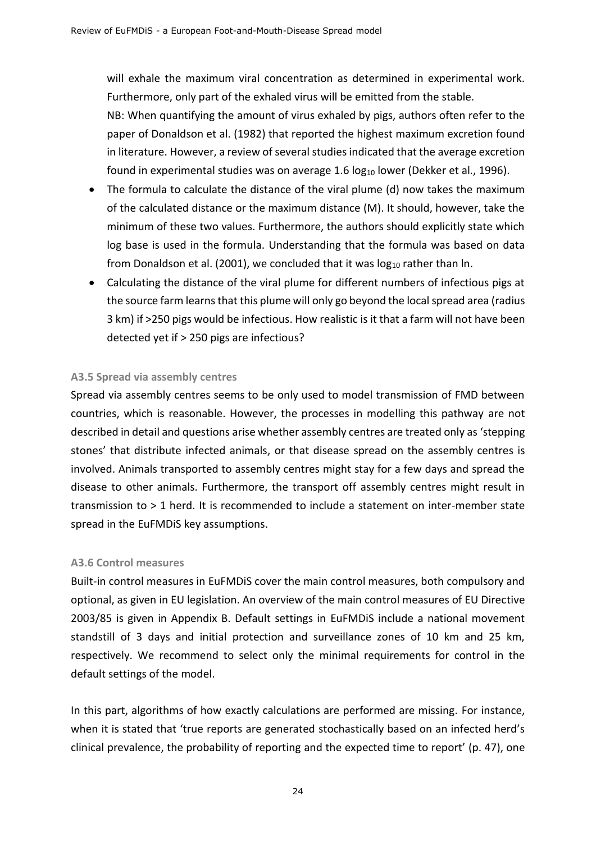will exhale the maximum viral concentration as determined in experimental work. Furthermore, only part of the exhaled virus will be emitted from the stable.

NB: When quantifying the amount of virus exhaled by pigs, authors often refer to the paper of Donaldson et al. (1982) that reported the highest maximum excretion found in literature. However, a review of several studies indicated that the average excretion found in experimental studies was on average 1.6  $log_{10}$  lower (Dekker et al., 1996).

- The formula to calculate the distance of the viral plume (d) now takes the maximum of the calculated distance or the maximum distance (M). It should, however, take the minimum of these two values. Furthermore, the authors should explicitly state which log base is used in the formula. Understanding that the formula was based on data from Donaldson et al. (2001), we concluded that it was  $log_{10}$  rather than ln.
- Calculating the distance of the viral plume for different numbers of infectious pigs at the source farm learns that this plume will only go beyond the local spread area (radius 3 km) if >250 pigs would be infectious. How realistic is it that a farm will not have been detected yet if > 250 pigs are infectious?

#### <span id="page-24-0"></span>**A3.5 Spread via assembly centres**

Spread via assembly centres seems to be only used to model transmission of FMD between countries, which is reasonable. However, the processes in modelling this pathway are not described in detail and questions arise whether assembly centres are treated only as 'stepping stones' that distribute infected animals, or that disease spread on the assembly centres is involved. Animals transported to assembly centres might stay for a few days and spread the disease to other animals. Furthermore, the transport off assembly centres might result in transmission to > 1 herd. It is recommended to include a statement on inter-member state spread in the EuFMDiS key assumptions.

#### <span id="page-24-1"></span>**A3.6 Control measures**

Built-in control measures in EuFMDiS cover the main control measures, both compulsory and optional, as given in EU legislation. An overview of the main control measures of EU Directive 2003/85 is given in Appendix B. Default settings in EuFMDiS include a national movement standstill of 3 days and initial protection and surveillance zones of 10 km and 25 km, respectively. We recommend to select only the minimal requirements for control in the default settings of the model.

In this part, algorithms of how exactly calculations are performed are missing. For instance, when it is stated that 'true reports are generated stochastically based on an infected herd's clinical prevalence, the probability of reporting and the expected time to report' (p. 47), one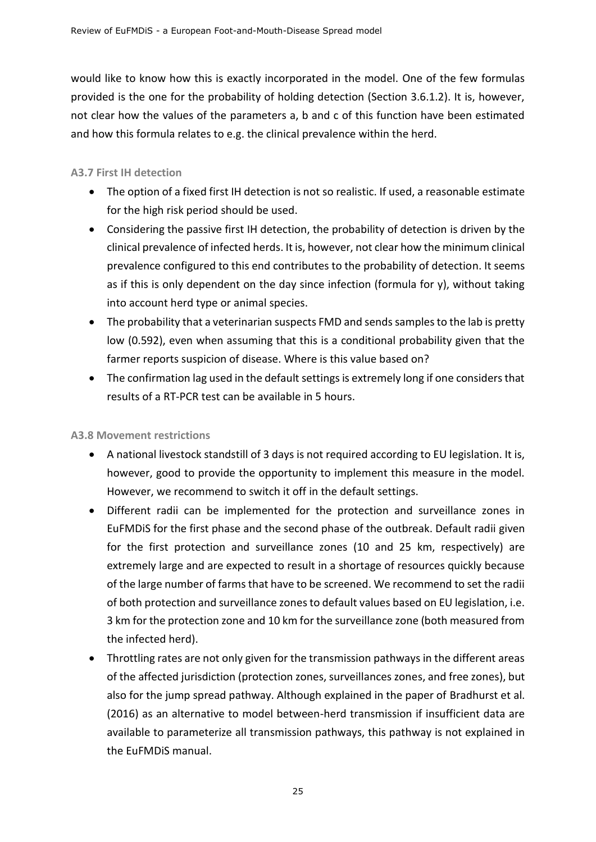would like to know how this is exactly incorporated in the model. One of the few formulas provided is the one for the probability of holding detection (Section 3.6.1.2). It is, however, not clear how the values of the parameters a, b and c of this function have been estimated and how this formula relates to e.g. the clinical prevalence within the herd.

#### <span id="page-25-0"></span>**A3.7 First IH detection**

- The option of a fixed first IH detection is not so realistic. If used, a reasonable estimate for the high risk period should be used.
- Considering the passive first IH detection, the probability of detection is driven by the clinical prevalence of infected herds. It is, however, not clear how the minimum clinical prevalence configured to this end contributes to the probability of detection. It seems as if this is only dependent on the day since infection (formula for y), without taking into account herd type or animal species.
- The probability that a veterinarian suspects FMD and sends samples to the lab is pretty low (0.592), even when assuming that this is a conditional probability given that the farmer reports suspicion of disease. Where is this value based on?
- The confirmation lag used in the default settings is extremely long if one considers that results of a RT-PCR test can be available in 5 hours.

#### <span id="page-25-1"></span>**A3.8 Movement restrictions**

- A national livestock standstill of 3 days is not required according to EU legislation. It is, however, good to provide the opportunity to implement this measure in the model. However, we recommend to switch it off in the default settings.
- Different radii can be implemented for the protection and surveillance zones in EuFMDiS for the first phase and the second phase of the outbreak. Default radii given for the first protection and surveillance zones (10 and 25 km, respectively) are extremely large and are expected to result in a shortage of resources quickly because of the large number of farms that have to be screened. We recommend to set the radii of both protection and surveillance zones to default values based on EU legislation, i.e. 3 km for the protection zone and 10 km for the surveillance zone (both measured from the infected herd).
- Throttling rates are not only given for the transmission pathways in the different areas of the affected jurisdiction (protection zones, surveillances zones, and free zones), but also for the jump spread pathway. Although explained in the paper of Bradhurst et al. (2016) as an alternative to model between-herd transmission if insufficient data are available to parameterize all transmission pathways, this pathway is not explained in the EuFMDiS manual.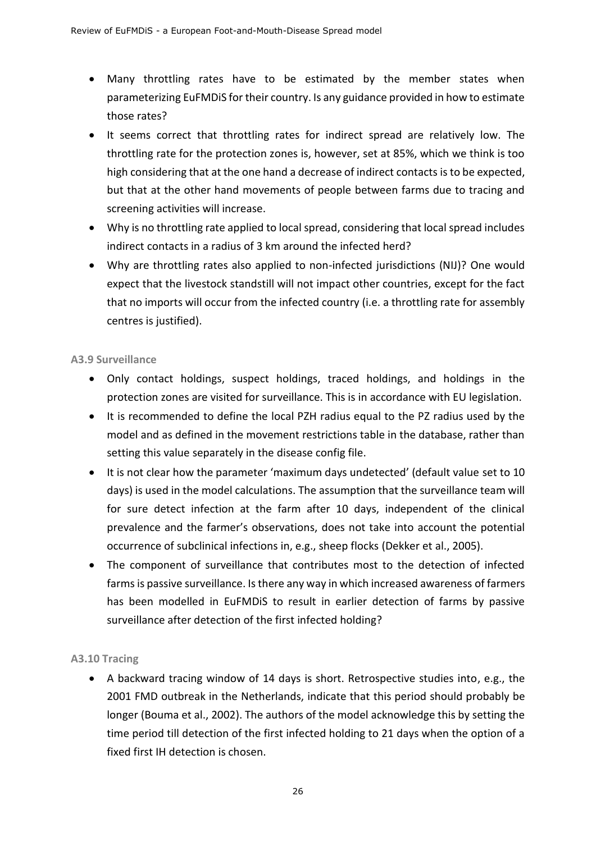- Many throttling rates have to be estimated by the member states when parameterizing EuFMDiS for their country. Is any guidance provided in how to estimate those rates?
- It seems correct that throttling rates for indirect spread are relatively low. The throttling rate for the protection zones is, however, set at 85%, which we think is too high considering that at the one hand a decrease of indirect contacts is to be expected, but that at the other hand movements of people between farms due to tracing and screening activities will increase.
- Why is no throttling rate applied to local spread, considering that local spread includes indirect contacts in a radius of 3 km around the infected herd?
- Why are throttling rates also applied to non-infected jurisdictions (NIJ)? One would expect that the livestock standstill will not impact other countries, except for the fact that no imports will occur from the infected country (i.e. a throttling rate for assembly centres is justified).

#### <span id="page-26-0"></span>**A3.9 Surveillance**

- Only contact holdings, suspect holdings, traced holdings, and holdings in the protection zones are visited for surveillance. This is in accordance with EU legislation.
- It is recommended to define the local PZH radius equal to the PZ radius used by the model and as defined in the movement restrictions table in the database, rather than setting this value separately in the disease config file.
- It is not clear how the parameter 'maximum days undetected' (default value set to 10 days) is used in the model calculations. The assumption that the surveillance team will for sure detect infection at the farm after 10 days, independent of the clinical prevalence and the farmer's observations, does not take into account the potential occurrence of subclinical infections in, e.g., sheep flocks (Dekker et al., 2005).
- The component of surveillance that contributes most to the detection of infected farms is passive surveillance. Is there any way in which increased awareness of farmers has been modelled in EuFMDiS to result in earlier detection of farms by passive surveillance after detection of the first infected holding?

#### <span id="page-26-1"></span>**A3.10 Tracing**

• A backward tracing window of 14 days is short. Retrospective studies into, e.g., the 2001 FMD outbreak in the Netherlands, indicate that this period should probably be longer (Bouma et al., 2002). The authors of the model acknowledge this by setting the time period till detection of the first infected holding to 21 days when the option of a fixed first IH detection is chosen.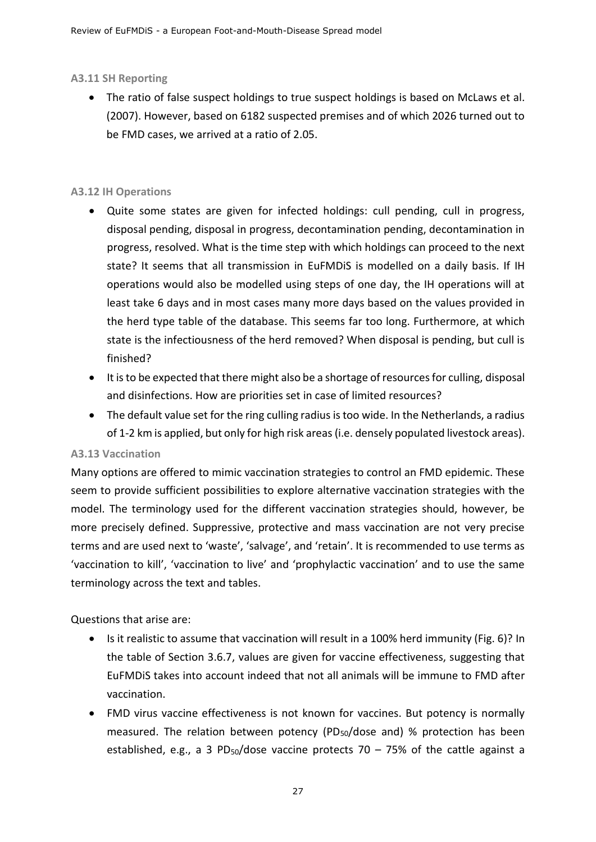#### **A3.11 SH Reporting**

• The ratio of false suspect holdings to true suspect holdings is based on McLaws et al. (2007). However, based on 6182 suspected premises and of which 2026 turned out to be FMD cases, we arrived at a ratio of 2.05.

#### <span id="page-27-0"></span>**A3.12 IH Operations**

- Quite some states are given for infected holdings: cull pending, cull in progress, disposal pending, disposal in progress, decontamination pending, decontamination in progress, resolved. What is the time step with which holdings can proceed to the next state? It seems that all transmission in EuFMDiS is modelled on a daily basis. If IH operations would also be modelled using steps of one day, the IH operations will at least take 6 days and in most cases many more days based on the values provided in the herd type table of the database. This seems far too long. Furthermore, at which state is the infectiousness of the herd removed? When disposal is pending, but cull is finished?
- It is to be expected that there might also be a shortage of resources for culling, disposal and disinfections. How are priorities set in case of limited resources?
- The default value set for the ring culling radius is too wide. In the Netherlands, a radius of 1-2 km is applied, but only for high risk areas (i.e. densely populated livestock areas).

#### <span id="page-27-1"></span>**A3.13 Vaccination**

Many options are offered to mimic vaccination strategies to control an FMD epidemic. These seem to provide sufficient possibilities to explore alternative vaccination strategies with the model. The terminology used for the different vaccination strategies should, however, be more precisely defined. Suppressive, protective and mass vaccination are not very precise terms and are used next to 'waste', 'salvage', and 'retain'. It is recommended to use terms as 'vaccination to kill', 'vaccination to live' and 'prophylactic vaccination' and to use the same terminology across the text and tables.

Questions that arise are:

- Is it realistic to assume that vaccination will result in a 100% herd immunity (Fig. 6)? In the table of Section 3.6.7, values are given for vaccine effectiveness, suggesting that EuFMDiS takes into account indeed that not all animals will be immune to FMD after vaccination.
- FMD virus vaccine effectiveness is not known for vaccines. But potency is normally measured. The relation between potency (PD50/dose and) % protection has been established, e.g., a 3 PD<sub>50</sub>/dose vaccine protects 70 – 75% of the cattle against a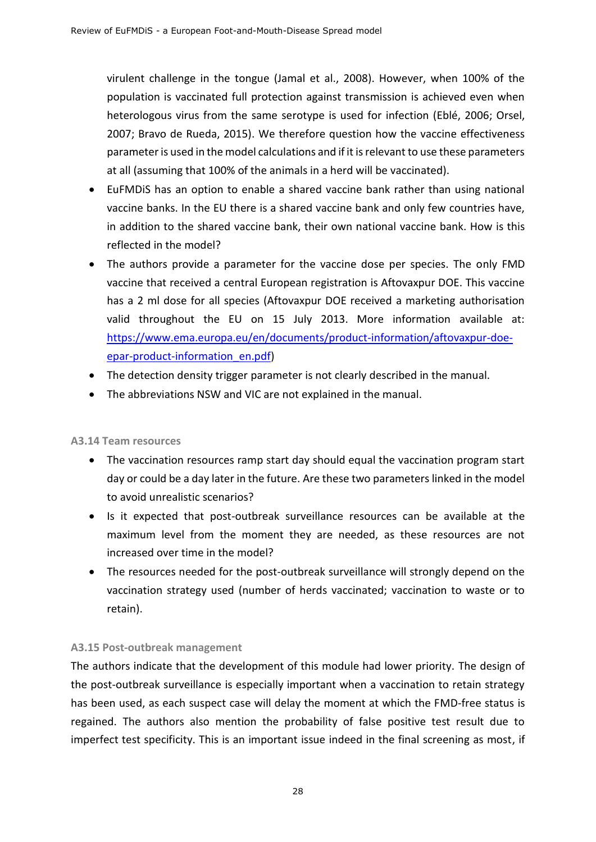virulent challenge in the tongue (Jamal et al., 2008). However, when 100% of the population is vaccinated full protection against transmission is achieved even when heterologous virus from the same serotype is used for infection (Eblé, 2006; Orsel, 2007; Bravo de Rueda, 2015). We therefore question how the vaccine effectiveness parameter is used in the model calculations and if it is relevant to use these parameters at all (assuming that 100% of the animals in a herd will be vaccinated).

- EuFMDiS has an option to enable a shared vaccine bank rather than using national vaccine banks. In the EU there is a shared vaccine bank and only few countries have, in addition to the shared vaccine bank, their own national vaccine bank. How is this reflected in the model?
- The authors provide a parameter for the vaccine dose per species. The only FMD vaccine that received a central European registration is Aftovaxpur DOE. This vaccine has a 2 ml dose for all species (Aftovaxpur DOE received a marketing authorisation valid throughout the EU on 15 July 2013. More information available at: [https://www.ema.europa.eu/en/documents/product-information/aftovaxpur-doe](https://www.ema.europa.eu/en/documents/product-information/aftovaxpur-doe-epar-product-information_en.pdf)[epar-product-information\\_en.pdf\)](https://www.ema.europa.eu/en/documents/product-information/aftovaxpur-doe-epar-product-information_en.pdf)
- The detection density trigger parameter is not clearly described in the manual.
- <span id="page-28-0"></span>• The abbreviations NSW and VIC are not explained in the manual.

#### **A3.14 Team resources**

- The vaccination resources ramp start day should equal the vaccination program start day or could be a day later in the future. Are these two parameters linked in the model to avoid unrealistic scenarios?
- Is it expected that post-outbreak surveillance resources can be available at the maximum level from the moment they are needed, as these resources are not increased over time in the model?
- The resources needed for the post-outbreak surveillance will strongly depend on the vaccination strategy used (number of herds vaccinated; vaccination to waste or to retain).

#### <span id="page-28-1"></span>**A3.15 Post-outbreak management**

The authors indicate that the development of this module had lower priority. The design of the post-outbreak surveillance is especially important when a vaccination to retain strategy has been used, as each suspect case will delay the moment at which the FMD-free status is regained. The authors also mention the probability of false positive test result due to imperfect test specificity. This is an important issue indeed in the final screening as most, if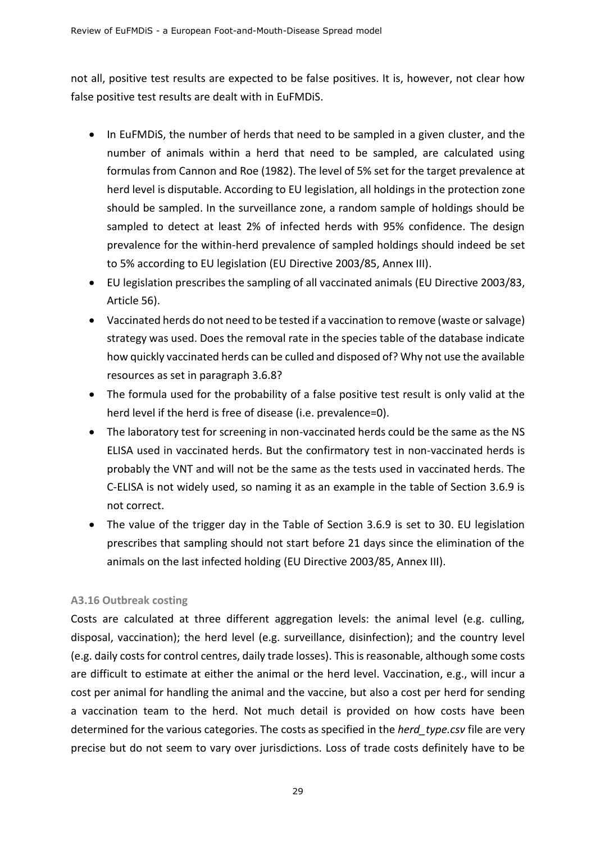not all, positive test results are expected to be false positives. It is, however, not clear how false positive test results are dealt with in EuFMDiS.

- In EuFMDiS, the number of herds that need to be sampled in a given cluster, and the number of animals within a herd that need to be sampled, are calculated using formulas from Cannon and Roe (1982). The level of 5% set for the target prevalence at herd level is disputable. According to EU legislation, all holdings in the protection zone should be sampled. In the surveillance zone, a random sample of holdings should be sampled to detect at least 2% of infected herds with 95% confidence. The design prevalence for the within-herd prevalence of sampled holdings should indeed be set to 5% according to EU legislation (EU Directive 2003/85, Annex III).
- EU legislation prescribes the sampling of all vaccinated animals (EU Directive 2003/83, Article 56).
- Vaccinated herds do not need to be tested if a vaccination to remove (waste or salvage) strategy was used. Does the removal rate in the species table of the database indicate how quickly vaccinated herds can be culled and disposed of? Why not use the available resources as set in paragraph 3.6.8?
- The formula used for the probability of a false positive test result is only valid at the herd level if the herd is free of disease (i.e. prevalence=0).
- The laboratory test for screening in non-vaccinated herds could be the same as the NS ELISA used in vaccinated herds. But the confirmatory test in non-vaccinated herds is probably the VNT and will not be the same as the tests used in vaccinated herds. The C-ELISA is not widely used, so naming it as an example in the table of Section 3.6.9 is not correct.
- The value of the trigger day in the Table of Section 3.6.9 is set to 30. EU legislation prescribes that sampling should not start before 21 days since the elimination of the animals on the last infected holding (EU Directive 2003/85, Annex III).

#### <span id="page-29-0"></span>**A3.16 Outbreak costing**

Costs are calculated at three different aggregation levels: the animal level (e.g. culling, disposal, vaccination); the herd level (e.g. surveillance, disinfection); and the country level (e.g. daily costs for control centres, daily trade losses). This is reasonable, although some costs are difficult to estimate at either the animal or the herd level. Vaccination, e.g., will incur a cost per animal for handling the animal and the vaccine, but also a cost per herd for sending a vaccination team to the herd. Not much detail is provided on how costs have been determined for the various categories. The costs as specified in the *herd\_type.csv* file are very precise but do not seem to vary over jurisdictions. Loss of trade costs definitely have to be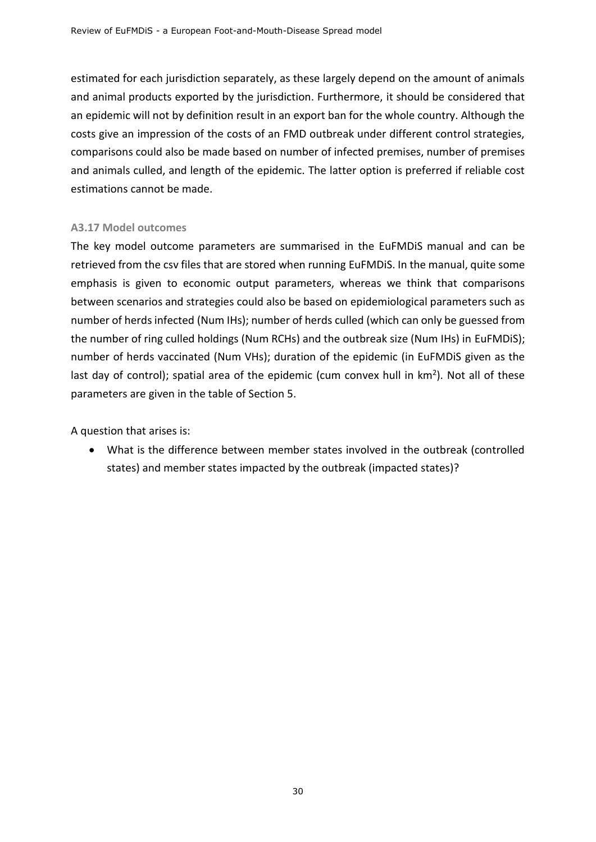estimated for each jurisdiction separately, as these largely depend on the amount of animals and animal products exported by the jurisdiction. Furthermore, it should be considered that an epidemic will not by definition result in an export ban for the whole country. Although the costs give an impression of the costs of an FMD outbreak under different control strategies, comparisons could also be made based on number of infected premises, number of premises and animals culled, and length of the epidemic. The latter option is preferred if reliable cost estimations cannot be made.

#### <span id="page-30-0"></span>**A3.17 Model outcomes**

The key model outcome parameters are summarised in the EuFMDiS manual and can be retrieved from the csv files that are stored when running EuFMDiS. In the manual, quite some emphasis is given to economic output parameters, whereas we think that comparisons between scenarios and strategies could also be based on epidemiological parameters such as number of herds infected (Num IHs); number of herds culled (which can only be guessed from the number of ring culled holdings (Num RCHs) and the outbreak size (Num IHs) in EuFMDiS); number of herds vaccinated (Num VHs); duration of the epidemic (in EuFMDiS given as the last day of control); spatial area of the epidemic (cum convex hull in  $km<sup>2</sup>$ ). Not all of these parameters are given in the table of Section 5.

A question that arises is:

• What is the difference between member states involved in the outbreak (controlled states) and member states impacted by the outbreak (impacted states)?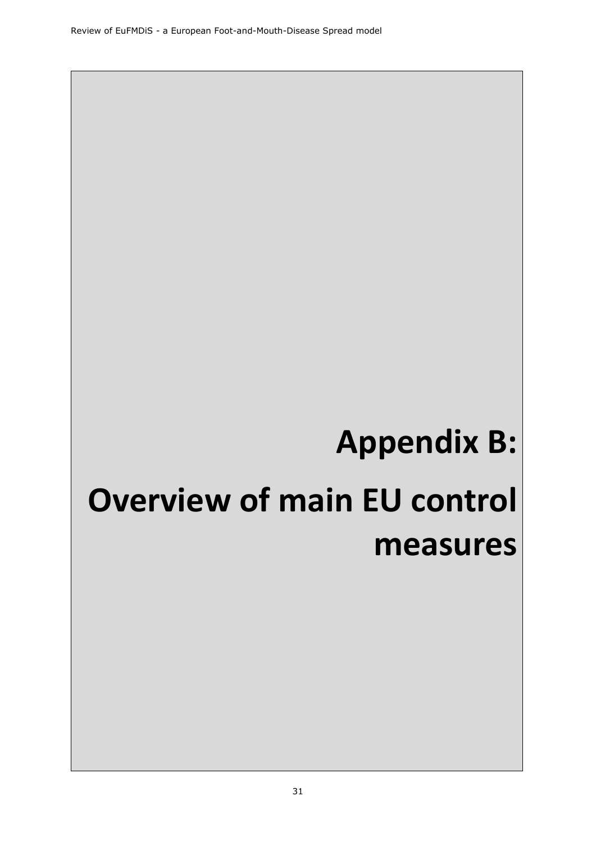# **Appendix B:**

# <span id="page-31-0"></span>**Overview of main EU control measures**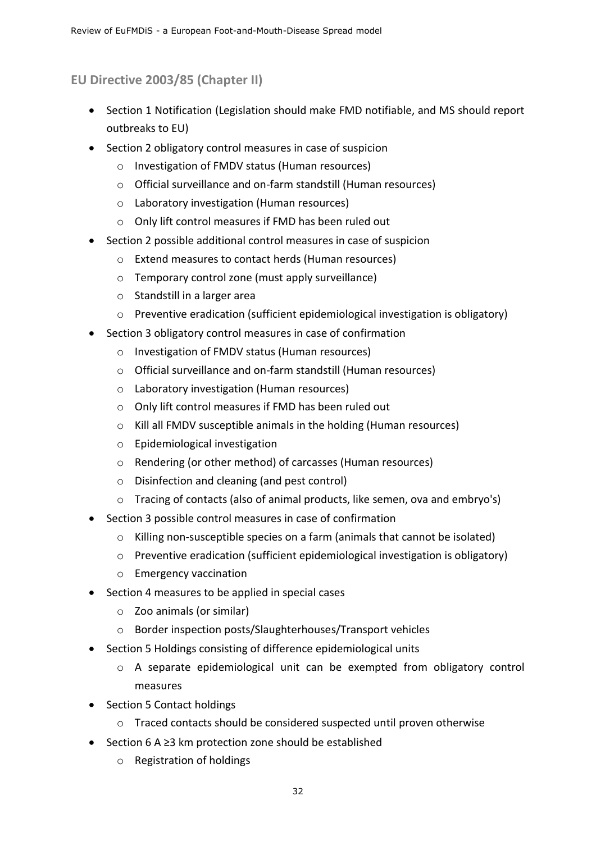## <span id="page-32-0"></span>**EU Directive 2003/85 (Chapter II)**

- Section 1 Notification (Legislation should make FMD notifiable, and MS should report outbreaks to EU)
- Section 2 obligatory control measures in case of suspicion
	- o Investigation of FMDV status (Human resources)
	- o Official surveillance and on-farm standstill (Human resources)
	- o Laboratory investigation (Human resources)
	- o Only lift control measures if FMD has been ruled out
- Section 2 possible additional control measures in case of suspicion
	- o Extend measures to contact herds (Human resources)
	- o Temporary control zone (must apply surveillance)
	- o Standstill in a larger area
	- o Preventive eradication (sufficient epidemiological investigation is obligatory)
- Section 3 obligatory control measures in case of confirmation
	- o Investigation of FMDV status (Human resources)
	- o Official surveillance and on-farm standstill (Human resources)
	- o Laboratory investigation (Human resources)
	- o Only lift control measures if FMD has been ruled out
	- o Kill all FMDV susceptible animals in the holding (Human resources)
	- o Epidemiological investigation
	- o Rendering (or other method) of carcasses (Human resources)
	- o Disinfection and cleaning (and pest control)
	- o Tracing of contacts (also of animal products, like semen, ova and embryo's)
- Section 3 possible control measures in case of confirmation
	- o Killing non-susceptible species on a farm (animals that cannot be isolated)
	- o Preventive eradication (sufficient epidemiological investigation is obligatory)
	- o Emergency vaccination
- Section 4 measures to be applied in special cases
	- o Zoo animals (or similar)
	- o Border inspection posts/Slaughterhouses/Transport vehicles
- Section 5 Holdings consisting of difference epidemiological units
	- o A separate epidemiological unit can be exempted from obligatory control measures
- Section 5 Contact holdings
	- o Traced contacts should be considered suspected until proven otherwise
- Section 6 A ≥3 km protection zone should be established
	- o Registration of holdings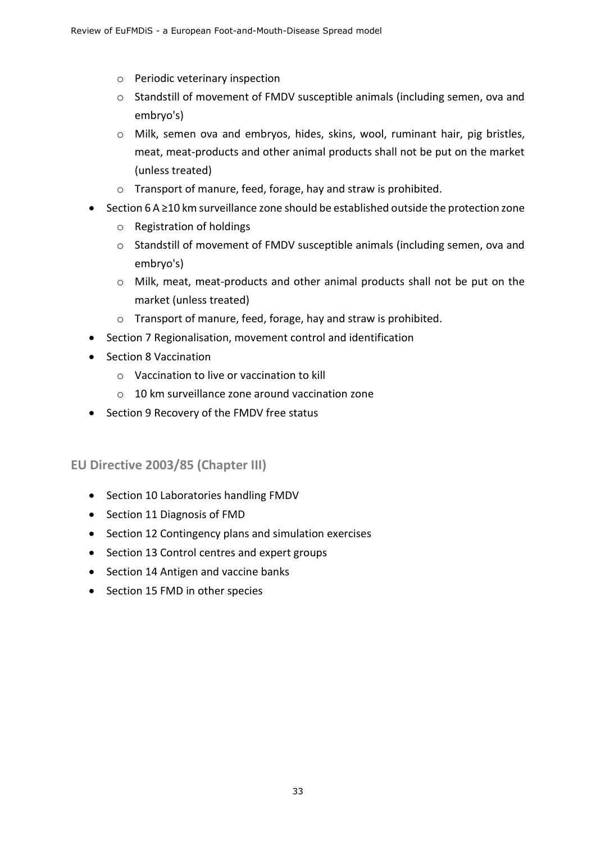- o Periodic veterinary inspection
- o Standstill of movement of FMDV susceptible animals (including semen, ova and embryo's)
- o Milk, semen ova and embryos, hides, skins, wool, ruminant hair, pig bristles, meat, meat-products and other animal products shall not be put on the market (unless treated)
- o Transport of manure, feed, forage, hay and straw is prohibited.
- Section 6 A ≥10 km surveillance zone should be established outside the protection zone
	- o Registration of holdings
	- o Standstill of movement of FMDV susceptible animals (including semen, ova and embryo's)
	- o Milk, meat, meat-products and other animal products shall not be put on the market (unless treated)
	- o Transport of manure, feed, forage, hay and straw is prohibited.
- Section 7 Regionalisation, movement control and identification
- Section 8 Vaccination
	- o Vaccination to live or vaccination to kill
	- $\circ$  10 km surveillance zone around vaccination zone
- Section 9 Recovery of the FMDV free status

#### <span id="page-33-0"></span>**EU Directive 2003/85 (Chapter III)**

- Section 10 Laboratories handling FMDV
- Section 11 Diagnosis of FMD
- Section 12 Contingency plans and simulation exercises
- Section 13 Control centres and expert groups
- Section 14 Antigen and vaccine banks
- Section 15 FMD in other species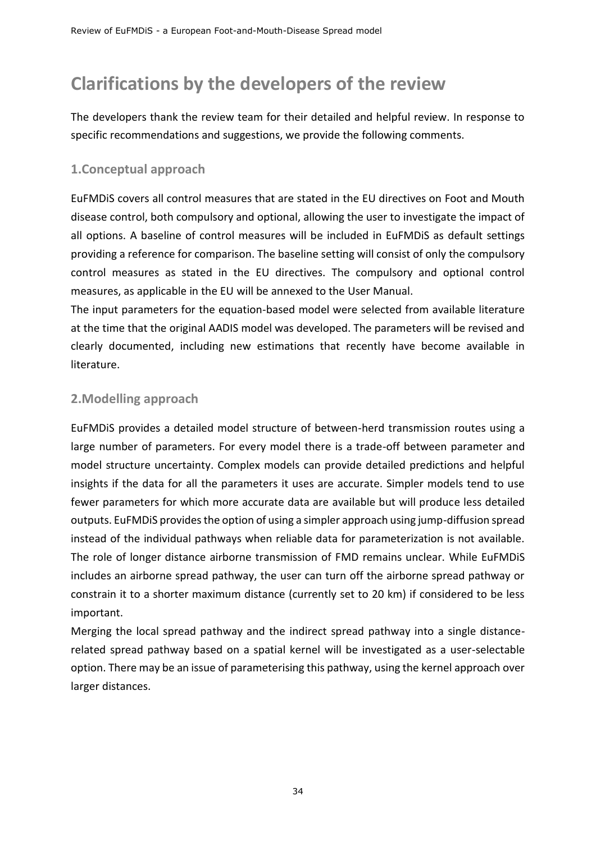# <span id="page-34-0"></span>**Clarifications by the developers of the review**

The developers thank the review team for their detailed and helpful review. In response to specific recommendations and suggestions, we provide the following comments.

## <span id="page-34-1"></span>**1.Conceptual approach**

EuFMDiS covers all control measures that are stated in the EU directives on Foot and Mouth disease control, both compulsory and optional, allowing the user to investigate the impact of all options. A baseline of control measures will be included in EuFMDiS as default settings providing a reference for comparison. The baseline setting will consist of only the compulsory control measures as stated in the EU directives. The compulsory and optional control measures, as applicable in the EU will be annexed to the User Manual.

The input parameters for the equation-based model were selected from available literature at the time that the original AADIS model was developed. The parameters will be revised and clearly documented, including new estimations that recently have become available in literature.

## <span id="page-34-2"></span>**2.Modelling approach**

EuFMDiS provides a detailed model structure of between-herd transmission routes using a large number of parameters. For every model there is a trade-off between parameter and model structure uncertainty. Complex models can provide detailed predictions and helpful insights if the data for all the parameters it uses are accurate. Simpler models tend to use fewer parameters for which more accurate data are available but will produce less detailed outputs. EuFMDiS provides the option of using a simpler approach using jump-diffusion spread instead of the individual pathways when reliable data for parameterization is not available. The role of longer distance airborne transmission of FMD remains unclear. While EuFMDiS includes an airborne spread pathway, the user can turn off the airborne spread pathway or constrain it to a shorter maximum distance (currently set to 20 km) if considered to be less important.

Merging the local spread pathway and the indirect spread pathway into a single distancerelated spread pathway based on a spatial kernel will be investigated as a user-selectable option. There may be an issue of parameterising this pathway, using the kernel approach over larger distances.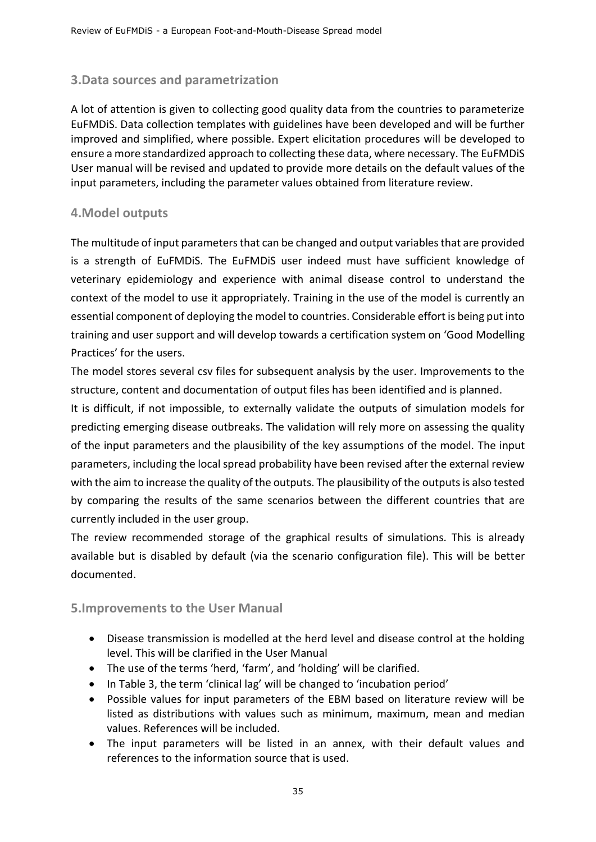## <span id="page-35-0"></span>**3.Data sources and parametrization**

A lot of attention is given to collecting good quality data from the countries to parameterize EuFMDiS. Data collection templates with guidelines have been developed and will be further improved and simplified, where possible. Expert elicitation procedures will be developed to ensure a more standardized approach to collecting these data, where necessary. The EuFMDiS User manual will be revised and updated to provide more details on the default values of the input parameters, including the parameter values obtained from literature review.

## <span id="page-35-1"></span>**4.Model outputs**

The multitude of input parameters that can be changed and output variables that are provided is a strength of EuFMDiS. The EuFMDiS user indeed must have sufficient knowledge of veterinary epidemiology and experience with animal disease control to understand the context of the model to use it appropriately. Training in the use of the model is currently an essential component of deploying the model to countries. Considerable effort is being put into training and user support and will develop towards a certification system on 'Good Modelling Practices' for the users.

The model stores several csv files for subsequent analysis by the user. Improvements to the structure, content and documentation of output files has been identified and is planned.

It is difficult, if not impossible, to externally validate the outputs of simulation models for predicting emerging disease outbreaks. The validation will rely more on assessing the quality of the input parameters and the plausibility of the key assumptions of the model. The input parameters, including the local spread probability have been revised after the external review with the aim to increase the quality of the outputs. The plausibility of the outputs is also tested by comparing the results of the same scenarios between the different countries that are currently included in the user group.

The review recommended storage of the graphical results of simulations. This is already available but is disabled by default (via the scenario configuration file). This will be better documented.

## <span id="page-35-2"></span>**5.Improvements to the User Manual**

- Disease transmission is modelled at the herd level and disease control at the holding level. This will be clarified in the User Manual
- The use of the terms 'herd, 'farm', and 'holding' will be clarified.
- In Table 3, the term 'clinical lag' will be changed to 'incubation period'
- Possible values for input parameters of the EBM based on literature review will be listed as distributions with values such as minimum, maximum, mean and median values. References will be included.
- The input parameters will be listed in an annex, with their default values and references to the information source that is used.